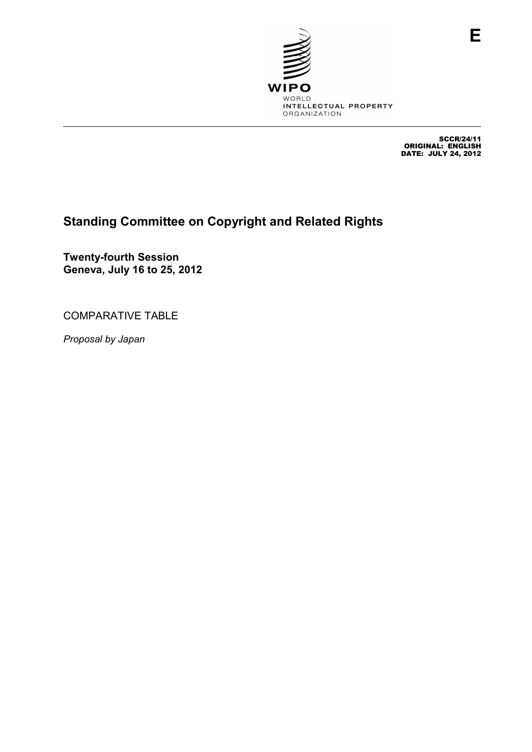

SCCR/24/11 ORIGINAL: ENGLISH DATE: JULY 24, 2012

## **Standing Committee on Copyright and Related Rights**

**Twenty-fourth Session Geneva, July 16 to 25, 2012** 

COMPARATIVE TABLE

*Proposal by Japan*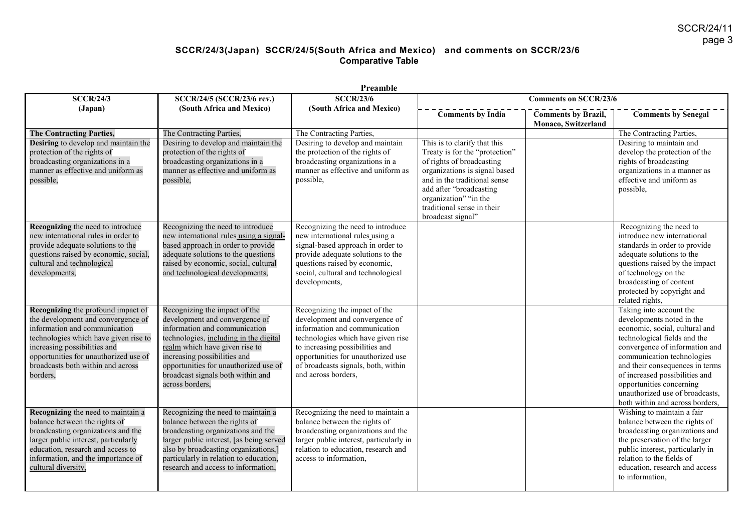# **SCCR/24/3(Japan) SCCR/24/5(South Africa and Mexico) and comments on SCCR/23/6 Comparative Table**

|                                                                                                                                                                                                                                                                              | Preamble                                                                                                                                                                                                                                                                                                      |                                                                                                                                                                                                                                                                               |                                                                                                                                                                                                                                                                     |                                                   |                                                                                                                                                                                                                                                                                                                                                               |  |  |
|------------------------------------------------------------------------------------------------------------------------------------------------------------------------------------------------------------------------------------------------------------------------------|---------------------------------------------------------------------------------------------------------------------------------------------------------------------------------------------------------------------------------------------------------------------------------------------------------------|-------------------------------------------------------------------------------------------------------------------------------------------------------------------------------------------------------------------------------------------------------------------------------|---------------------------------------------------------------------------------------------------------------------------------------------------------------------------------------------------------------------------------------------------------------------|---------------------------------------------------|---------------------------------------------------------------------------------------------------------------------------------------------------------------------------------------------------------------------------------------------------------------------------------------------------------------------------------------------------------------|--|--|
| <b>SCCR/24/3</b>                                                                                                                                                                                                                                                             | SCCR/24/5 (SCCR/23/6 rev.)                                                                                                                                                                                                                                                                                    | <b>SCCR/23/6</b>                                                                                                                                                                                                                                                              |                                                                                                                                                                                                                                                                     | <b>Comments on SCCR/23/6</b>                      |                                                                                                                                                                                                                                                                                                                                                               |  |  |
| (Japan)                                                                                                                                                                                                                                                                      | (South Africa and Mexico)                                                                                                                                                                                                                                                                                     | (South Africa and Mexico)                                                                                                                                                                                                                                                     | <b>Comments by India</b>                                                                                                                                                                                                                                            | <b>Comments by Brazil,</b><br>Monaco, Switzerland | <b>Comments by Senegal</b>                                                                                                                                                                                                                                                                                                                                    |  |  |
| <b>The Contracting Parties,</b>                                                                                                                                                                                                                                              | The Contracting Parties,                                                                                                                                                                                                                                                                                      | The Contracting Parties,                                                                                                                                                                                                                                                      |                                                                                                                                                                                                                                                                     |                                                   | The Contracting Parties,                                                                                                                                                                                                                                                                                                                                      |  |  |
| Desiring to develop and maintain the<br>protection of the rights of<br>broadcasting organizations in a<br>manner as effective and uniform as<br>possible,                                                                                                                    | Desiring to develop and maintain the<br>protection of the rights of<br>broadcasting organizations in a<br>manner as effective and uniform as<br>possible,                                                                                                                                                     | Desiring to develop and maintain<br>the protection of the rights of<br>broadcasting organizations in a<br>manner as effective and uniform as<br>possible,                                                                                                                     | This is to clarify that this<br>Treaty is for the "protection"<br>of rights of broadcasting<br>organizations is signal based<br>and in the traditional sense<br>add after "broadcasting<br>organization" "in the<br>traditional sense in their<br>broadcast signal" |                                                   | Desiring to maintain and<br>develop the protection of the<br>rights of broadcasting<br>organizations in a manner as<br>effective and uniform as<br>possible,                                                                                                                                                                                                  |  |  |
| Recognizing the need to introduce<br>new international rules in order to<br>provide adequate solutions to the<br>questions raised by economic, social,<br>cultural and technological<br>developments,                                                                        | Recognizing the need to introduce<br>new international rules using a signal-<br>based approach in order to provide<br>adequate solutions to the questions<br>raised by economic, social, cultural<br>and technological developments,                                                                          | Recognizing the need to introduce<br>new international rules using a<br>signal-based approach in order to<br>provide adequate solutions to the<br>questions raised by economic,<br>social, cultural and technological<br>developments,                                        |                                                                                                                                                                                                                                                                     |                                                   | Recognizing the need to<br>introduce new international<br>standards in order to provide<br>adequate solutions to the<br>questions raised by the impact<br>of technology on the<br>broadcasting of content<br>protected by copyright and<br>related rights,                                                                                                    |  |  |
| Recognizing the profound impact of<br>the development and convergence of<br>information and communication<br>technologies which have given rise to<br>increasing possibilities and<br>opportunities for unauthorized use of<br>broadcasts both within and across<br>borders. | Recognizing the impact of the<br>development and convergence of<br>information and communication<br>technologies, including in the digital<br>realm which have given rise to<br>increasing possibilities and<br>opportunities for unauthorized use of<br>broadcast signals both within and<br>across borders, | Recognizing the impact of the<br>development and convergence of<br>information and communication<br>technologies which have given rise<br>to increasing possibilities and<br>opportunities for unauthorized use<br>of broadcasts signals, both, within<br>and across borders, |                                                                                                                                                                                                                                                                     |                                                   | Taking into account the<br>developments noted in the<br>economic, social, cultural and<br>technological fields and the<br>convergence of information and<br>communication technologies<br>and their consequences in terms<br>of increased possibilities and<br>opportunities concerning<br>unauthorized use of broadcasts.<br>both within and across borders, |  |  |
| Recognizing the need to maintain a<br>balance between the rights of<br>broadcasting organizations and the<br>larger public interest, particularly<br>education, research and access to<br>information, and the importance of<br>cultural diversity,                          | Recognizing the need to maintain a<br>balance between the rights of<br>broadcasting organizations and the<br>larger public interest, [as being served<br>also by broadcasting organizations,<br>particularly in relation to education,<br>research and access to information,                                 | Recognizing the need to maintain a<br>balance between the rights of<br>broadcasting organizations and the<br>larger public interest, particularly in<br>relation to education, research and<br>access to information,                                                         |                                                                                                                                                                                                                                                                     |                                                   | Wishing to maintain a fair<br>balance between the rights of<br>broadcasting organizations and<br>the preservation of the larger<br>public interest, particularly in<br>relation to the fields of<br>education, research and access<br>to information.                                                                                                         |  |  |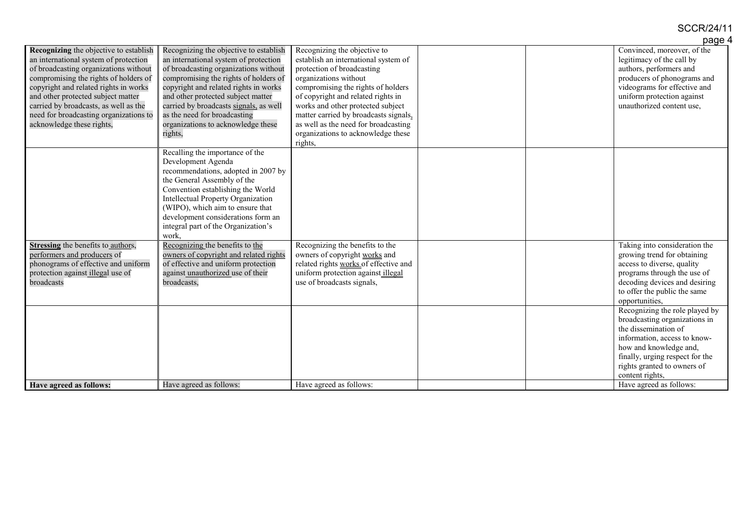## SCCR/24/11

|                                                                                                                                                                                                                                                                                                                                                                         |                                                                                                                                                                                                                                                                                                                                                                             |                                                                                                                                                                                                                                                                                                                                                                                | page 4                                                                                                                                                                                                                                 |
|-------------------------------------------------------------------------------------------------------------------------------------------------------------------------------------------------------------------------------------------------------------------------------------------------------------------------------------------------------------------------|-----------------------------------------------------------------------------------------------------------------------------------------------------------------------------------------------------------------------------------------------------------------------------------------------------------------------------------------------------------------------------|--------------------------------------------------------------------------------------------------------------------------------------------------------------------------------------------------------------------------------------------------------------------------------------------------------------------------------------------------------------------------------|----------------------------------------------------------------------------------------------------------------------------------------------------------------------------------------------------------------------------------------|
| <b>Recognizing</b> the objective to establish<br>an international system of protection<br>of broadcasting organizations without<br>compromising the rights of holders of<br>copyright and related rights in works<br>and other protected subject matter<br>carried by broadcasts, as well as the<br>need for broadcasting organizations to<br>acknowledge these rights, | Recognizing the objective to establish<br>an international system of protection<br>of broadcasting organizations without<br>compromising the rights of holders of<br>copyright and related rights in works<br>and other protected subject matter<br>carried by broadcasts signals, as well<br>as the need for broadcasting<br>organizations to acknowledge these<br>rights, | Recognizing the objective to<br>establish an international system of<br>protection of broadcasting<br>organizations without<br>compromising the rights of holders<br>of copyright and related rights in<br>works and other protected subject<br>matter carried by broadcasts signals.<br>as well as the need for broadcasting<br>organizations to acknowledge these<br>rights, | Convinced, moreover, of the<br>legitimacy of the call by<br>authors, performers and<br>producers of phonograms and<br>videograms for effective and<br>uniform protection against<br>unauthorized content use,                          |
|                                                                                                                                                                                                                                                                                                                                                                         | Recalling the importance of the<br>Development Agenda<br>recommendations, adopted in 2007 by<br>the General Assembly of the<br>Convention establishing the World<br><b>Intellectual Property Organization</b><br>(WIPO), which aim to ensure that<br>development considerations form an<br>integral part of the Organization's<br>work.                                     |                                                                                                                                                                                                                                                                                                                                                                                |                                                                                                                                                                                                                                        |
| Stressing the benefits to authors,<br>performers and producers of<br>phonograms of effective and uniform<br>protection against illegal use of<br>broadcasts                                                                                                                                                                                                             | Recognizing the benefits to the<br>owners of copyright and related rights<br>of effective and uniform protection<br>against unauthorized use of their<br>broadcasts,                                                                                                                                                                                                        | Recognizing the benefits to the<br>owners of copyright works and<br>related rights works of effective and<br>uniform protection against illegal<br>use of broadcasts signals,                                                                                                                                                                                                  | Taking into consideration the<br>growing trend for obtaining<br>access to diverse, quality<br>programs through the use of<br>decoding devices and desiring<br>to offer the public the same<br>opportunities,                           |
|                                                                                                                                                                                                                                                                                                                                                                         |                                                                                                                                                                                                                                                                                                                                                                             |                                                                                                                                                                                                                                                                                                                                                                                | Recognizing the role played by<br>broadcasting organizations in<br>the dissemination of<br>information, access to know-<br>how and knowledge and,<br>finally, urging respect for the<br>rights granted to owners of<br>content rights, |
| Have agreed as follows:                                                                                                                                                                                                                                                                                                                                                 | Have agreed as follows:                                                                                                                                                                                                                                                                                                                                                     | Have agreed as follows:                                                                                                                                                                                                                                                                                                                                                        | Have agreed as follows:                                                                                                                                                                                                                |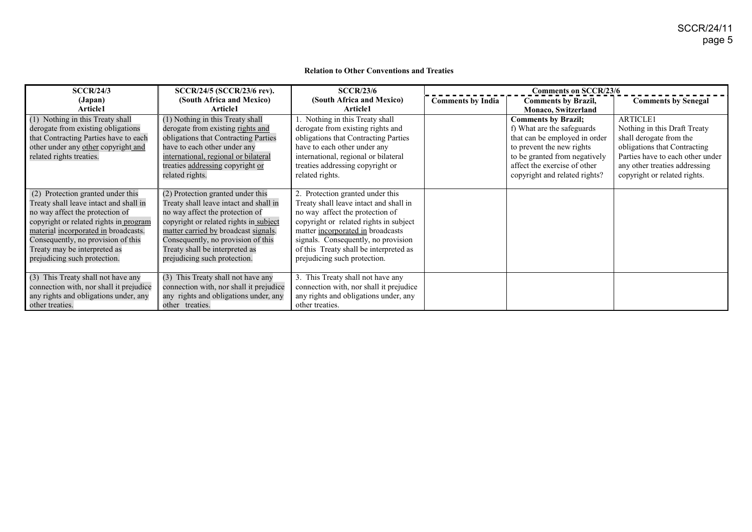#### **Relation to Other Conventions and Treaties**

| SCCR/24/3                               | SCCR/24/5 (SCCR/23/6 rev).              | SCCR/23/6                               |                          | <b>Comments on SCCR/23/6</b>  |                                  |
|-----------------------------------------|-----------------------------------------|-----------------------------------------|--------------------------|-------------------------------|----------------------------------|
| (Japan)                                 | (South Africa and Mexico)               | (South Africa and Mexico)               | <b>Comments by India</b> | <b>Comments by Brazil,</b>    | <b>Comments by Senegal</b>       |
| Article1                                | <b>Article1</b>                         | <b>Article1</b>                         |                          | <b>Monaco, Switzerland</b>    |                                  |
| (1) Nothing in this Treaty shall        | (1) Nothing in this Treaty shall        | Nothing in this Treaty shall            |                          | <b>Comments by Brazil;</b>    | <b>ARTICLE1</b>                  |
| derogate from existing obligations      | derogate from existing rights and       | derogate from existing rights and       |                          | f) What are the safeguards    | Nothing in this Draft Treaty     |
| that Contracting Parties have to each   | obligations that Contracting Parties    | obligations that Contracting Parties    |                          | that can be employed in order | shall derogate from the          |
| other under any other copyright and     | have to each other under any            | have to each other under any            |                          | to prevent the new rights     | obligations that Contracting     |
| related rights treaties.                | international, regional or bilateral    | international, regional or bilateral    |                          | to be granted from negatively | Parties have to each other under |
|                                         | treaties addressing copyright or        | treaties addressing copyright or        |                          | affect the exercise of other  | any other treaties addressing    |
|                                         | related rights.                         | related rights.                         |                          | copyright and related rights? | copyright or related rights.     |
|                                         |                                         |                                         |                          |                               |                                  |
| (2) Protection granted under this       | (2) Protection granted under this       | 2. Protection granted under this        |                          |                               |                                  |
| Treaty shall leave intact and shall in  | Treaty shall leave intact and shall in  | Treaty shall leave intact and shall in  |                          |                               |                                  |
| no way affect the protection of         | no way affect the protection of         | no way affect the protection of         |                          |                               |                                  |
| copyright or related rights in program  | copyright or related rights in subject  | copyright or related rights in subject  |                          |                               |                                  |
| material incorporated in broadcasts.    | matter carried by broadcast signals.    | matter incorporated in broadcasts       |                          |                               |                                  |
| Consequently, no provision of this      | Consequently, no provision of this      | signals. Consequently, no provision     |                          |                               |                                  |
| Treaty may be interpreted as            | Treaty shall be interpreted as          | of this Treaty shall be interpreted as  |                          |                               |                                  |
| prejudicing such protection.            | prejudicing such protection.            | prejudicing such protection.            |                          |                               |                                  |
|                                         |                                         |                                         |                          |                               |                                  |
| (3) This Treaty shall not have any      | (3) This Treaty shall not have any      | 3. This Treaty shall not have any       |                          |                               |                                  |
| connection with, nor shall it prejudice | connection with, nor shall it prejudice | connection with, nor shall it prejudice |                          |                               |                                  |
| any rights and obligations under, any   | any rights and obligations under, any   | any rights and obligations under, any   |                          |                               |                                  |
| other treaties.                         | other treaties.                         | other treaties.                         |                          |                               |                                  |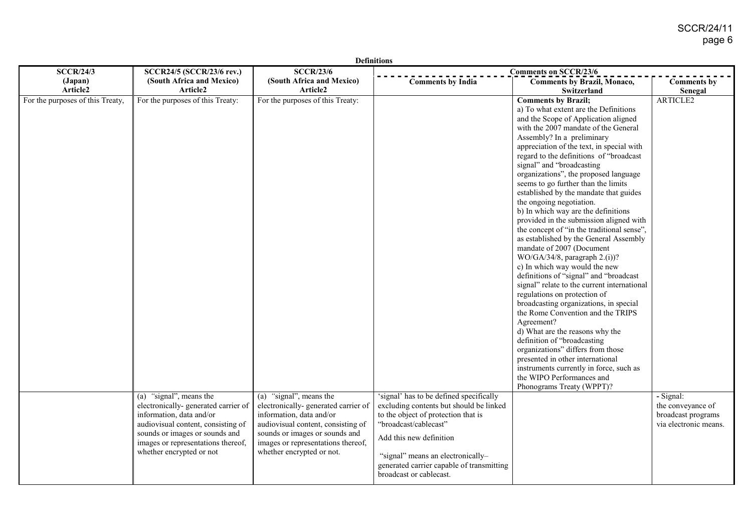| <b>Definitions</b>               |                                                                                                                                                                                                                                       |                                                                                                                                                                                                                                       |                                                                                                                                                                                                                                                                                            |                                                                                                                                                                                                                                                                                                                                                                                                                                                                                                                                                                                                                                                                                                                                                                                                                                                                                                                                                                                                                                                                                                                                                                                                                |                                                                               |  |
|----------------------------------|---------------------------------------------------------------------------------------------------------------------------------------------------------------------------------------------------------------------------------------|---------------------------------------------------------------------------------------------------------------------------------------------------------------------------------------------------------------------------------------|--------------------------------------------------------------------------------------------------------------------------------------------------------------------------------------------------------------------------------------------------------------------------------------------|----------------------------------------------------------------------------------------------------------------------------------------------------------------------------------------------------------------------------------------------------------------------------------------------------------------------------------------------------------------------------------------------------------------------------------------------------------------------------------------------------------------------------------------------------------------------------------------------------------------------------------------------------------------------------------------------------------------------------------------------------------------------------------------------------------------------------------------------------------------------------------------------------------------------------------------------------------------------------------------------------------------------------------------------------------------------------------------------------------------------------------------------------------------------------------------------------------------|-------------------------------------------------------------------------------|--|
| <b>SCCR/24/3</b>                 | SCCR24/5 (SCCR/23/6 rev.)                                                                                                                                                                                                             | <b>SCCR/23/6</b>                                                                                                                                                                                                                      |                                                                                                                                                                                                                                                                                            | <b>Comments on SCCR/23/6</b>                                                                                                                                                                                                                                                                                                                                                                                                                                                                                                                                                                                                                                                                                                                                                                                                                                                                                                                                                                                                                                                                                                                                                                                   |                                                                               |  |
| (Japan)<br>Article2              | (South Africa and Mexico)<br>Article2                                                                                                                                                                                                 | (South Africa and Mexico)<br>Article2                                                                                                                                                                                                 | <b>Comments by India</b>                                                                                                                                                                                                                                                                   | <b>Comments by Brazil, Monaco,</b><br>Switzerland                                                                                                                                                                                                                                                                                                                                                                                                                                                                                                                                                                                                                                                                                                                                                                                                                                                                                                                                                                                                                                                                                                                                                              | <b>Comments by</b><br>Senegal                                                 |  |
| For the purposes of this Treaty, | For the purposes of this Treaty:                                                                                                                                                                                                      | For the purposes of this Treaty:                                                                                                                                                                                                      |                                                                                                                                                                                                                                                                                            | <b>Comments by Brazil;</b><br>a) To what extent are the Definitions<br>and the Scope of Application aligned<br>with the 2007 mandate of the General<br>Assembly? In a preliminary<br>appreciation of the text, in special with<br>regard to the definitions of "broadcast<br>signal" and "broadcasting<br>organizations", the proposed language<br>seems to go further than the limits<br>established by the mandate that guides<br>the ongoing negotiation.<br>b) In which way are the definitions<br>provided in the submission aligned with<br>the concept of "in the traditional sense",<br>as established by the General Assembly<br>mandate of 2007 (Document<br>$WO/GA/34/8$ , paragraph 2.(i))?<br>c) In which way would the new<br>definitions of "signal" and "broadcast<br>signal" relate to the current international<br>regulations on protection of<br>broadcasting organizations, in special<br>the Rome Convention and the TRIPS<br>Agreement?<br>d) What are the reasons why the<br>definition of "broadcasting<br>organizations" differs from those<br>presented in other international<br>instruments currently in force, such as<br>the WIPO Performances and<br>Phonograms Treaty (WPPT)? | <b>ARTICLE2</b>                                                               |  |
|                                  | (a) "signal", means the<br>electronically- generated carrier of<br>information, data and/or<br>audiovisual content, consisting of<br>sounds or images or sounds and<br>images or representations thereof,<br>whether encrypted or not | (a) "signal", means the<br>electronically-generated carrier of<br>information, data and/or<br>audiovisual content, consisting of<br>sounds or images or sounds and<br>images or representations thereof,<br>whether encrypted or not. | 'signal' has to be defined specifically<br>excluding contents but should be linked<br>to the object of protection that is<br>"broadcast/cablecast"<br>Add this new definition<br>"signal" means an electronically-<br>generated carrier capable of transmitting<br>broadcast or cablecast. |                                                                                                                                                                                                                                                                                                                                                                                                                                                                                                                                                                                                                                                                                                                                                                                                                                                                                                                                                                                                                                                                                                                                                                                                                | - Signal:<br>the conveyance of<br>broadcast programs<br>via electronic means. |  |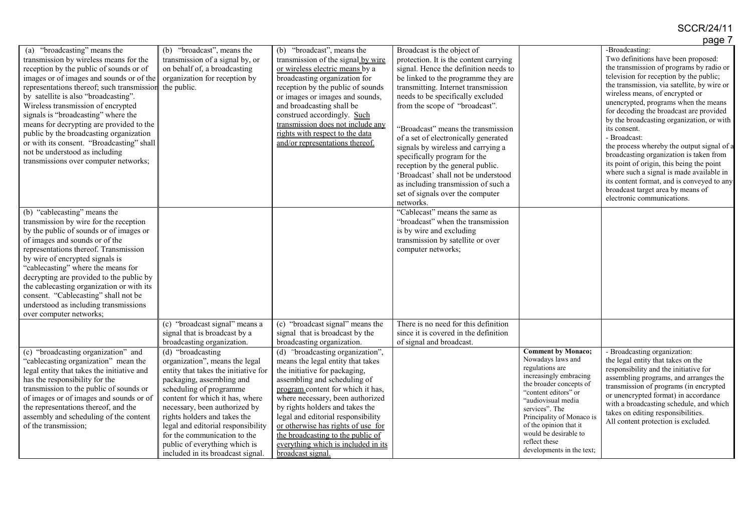## SCCR/24/11

|                                            |                                      |                                     |                                        |                                                   | page 7                                                                               |
|--------------------------------------------|--------------------------------------|-------------------------------------|----------------------------------------|---------------------------------------------------|--------------------------------------------------------------------------------------|
| "broadcasting" means the<br>(a)            | "broadcast", means the<br>(b)        | "broadcast", means the<br>(b)       | Broadcast is the object of             |                                                   | -Broadcasting:                                                                       |
| transmission by wireless means for the     | transmission of a signal by, or      | transmission of the signal by wire  | protection. It is the content carrying |                                                   | Two definitions have been proposed:                                                  |
| reception by the public of sounds or of    | on behalf of, a broadcasting         | or wireless electric means by a     | signal. Hence the definition needs to  |                                                   | the transmission of programs by radio or                                             |
| images or of images and sounds or of the   | organization for reception by        | broadcasting organization for       | be linked to the programme they are    |                                                   | television for reception by the public;                                              |
| representations thereof; such transmission | the public.                          | reception by the public of sounds   | transmitting. Internet transmission    |                                                   | the transmission, via satellite, by wire or                                          |
| by satellite is also "broadcasting".       |                                      | or images or images and sounds,     | needs to be specifically excluded      |                                                   | wireless means, of encrypted or                                                      |
| Wireless transmission of encrypted         |                                      | and broadcasting shall be           | from the scope of "broadcast".         |                                                   | unencrypted, programs when the means                                                 |
| signals is "broadcasting" where the        |                                      | construed accordingly. Such         |                                        |                                                   | for decoding the broadcast are provided<br>by the broadcasting organization, or with |
| means for decrypting are provided to the   |                                      | transmission does not include any   | "Broadcast" means the transmission     |                                                   | its consent.                                                                         |
| public by the broadcasting organization    |                                      | rights with respect to the data     | of a set of electronically generated   |                                                   | - Broadcast:                                                                         |
| or with its consent. "Broadcasting" shall  |                                      | and/or representations thereof.     | signals by wireless and carrying a     |                                                   | the process whereby the output signal of a                                           |
| not be understood as including             |                                      |                                     | specifically program for the           |                                                   | broadcasting organization is taken from                                              |
| transmissions over computer networks;      |                                      |                                     | reception by the general public.       |                                                   | its point of origin, this being the point                                            |
|                                            |                                      |                                     | 'Broadcast' shall not be understood    |                                                   | where such a signal is made available in                                             |
|                                            |                                      |                                     | as including transmission of such a    |                                                   | its content format, and is conveyed to any                                           |
|                                            |                                      |                                     | set of signals over the computer       |                                                   | broadcast target area by means of                                                    |
|                                            |                                      |                                     | networks.                              |                                                   | electronic communications.                                                           |
| (b) "cablecasting" means the               |                                      |                                     | "Cablecast" means the same as          |                                                   |                                                                                      |
| transmission by wire for the reception     |                                      |                                     | "broadcast" when the transmission      |                                                   |                                                                                      |
| by the public of sounds or of images or    |                                      |                                     | is by wire and excluding               |                                                   |                                                                                      |
| of images and sounds or of the             |                                      |                                     | transmission by satellite or over      |                                                   |                                                                                      |
| representations thereof. Transmission      |                                      |                                     | computer networks;                     |                                                   |                                                                                      |
| by wire of encrypted signals is            |                                      |                                     |                                        |                                                   |                                                                                      |
| "cablecasting" where the means for         |                                      |                                     |                                        |                                                   |                                                                                      |
| decrypting are provided to the public by   |                                      |                                     |                                        |                                                   |                                                                                      |
| the cablecasting organization or with its  |                                      |                                     |                                        |                                                   |                                                                                      |
| consent. "Cablecasting" shall not be       |                                      |                                     |                                        |                                                   |                                                                                      |
| understood as including transmissions      |                                      |                                     |                                        |                                                   |                                                                                      |
| over computer networks;                    |                                      |                                     |                                        |                                                   |                                                                                      |
|                                            | (c) "broadcast signal" means a       | (c) "broadcast signal" means the    | There is no need for this definition   |                                                   |                                                                                      |
|                                            | signal that is broadcast by a        | signal that is broadcast by the     | since it is covered in the definition  |                                                   |                                                                                      |
|                                            | broadcasting organization.           | broadcasting organization.          | of signal and broadcast.               |                                                   |                                                                                      |
| (c) "broadcasting organization" and        | (d) "broadcasting                    | (d) "broadcasting organization",    |                                        | <b>Comment by Monaco;</b>                         | - Broadcasting organization:                                                         |
| "cablecasting organization" mean the       | organization", means the legal       | means the legal entity that takes   |                                        | Nowadays laws and                                 | the legal entity that takes on the                                                   |
| legal entity that takes the initiative and | entity that takes the initiative for | the initiative for packaging,       |                                        | regulations are                                   | responsibility and the initiative for                                                |
| has the responsibility for the             | packaging, assembling and            | assembling and scheduling of        |                                        | increasingly embracing<br>the broader concepts of | assembling programs, and arranges the                                                |
| transmission to the public of sounds or    | scheduling of programme              | program content for which it has,   |                                        | "content editors" or                              | transmission of programs (in encrypted                                               |
| of images or of images and sounds or of    | content for which it has, where      | where necessary, been authorized    |                                        | "audiovisual media                                | or unencrypted format) in accordance<br>with a broadcasting schedule, and which      |
| the representations thereof, and the       | necessary, been authorized by        | by rights holders and takes the     |                                        | services". The                                    | takes on editing responsibilities.                                                   |
| assembly and scheduling of the content     | rights holders and takes the         | legal and editorial responsibility  |                                        | Principality of Monaco is                         | All content protection is excluded.                                                  |
| of the transmission;                       | legal and editorial responsibility   | or otherwise has rights of use for  |                                        | of the opinion that it                            |                                                                                      |
|                                            | for the communication to the         | the broadcasting to the public of   |                                        | would be desirable to                             |                                                                                      |
|                                            | public of everything which is        | everything which is included in its |                                        | reflect these<br>developments in the text;        |                                                                                      |
|                                            | included in its broadcast signal.    | broadcast signal                    |                                        |                                                   |                                                                                      |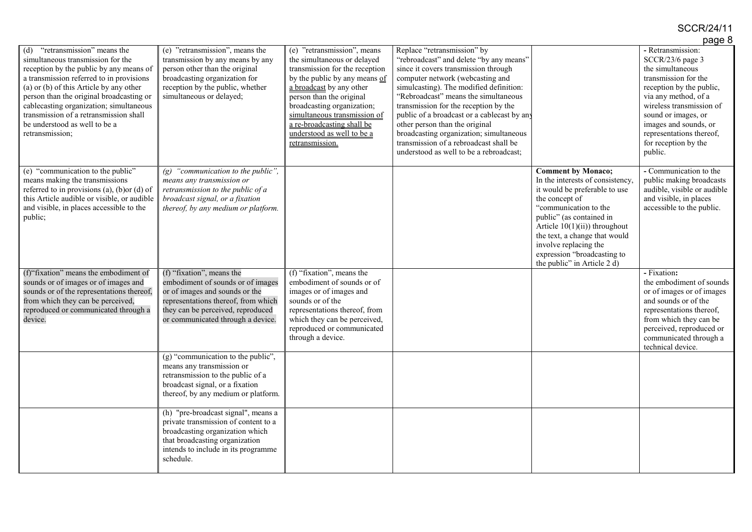|                                                                                                                                                                                                                                                                                                                                                                                               |                                                                                                                                                                                                                   |                                                                                                                                                                                                                                                                                                                                    |                                                                                                                                                                                                                                                                                                                                                                                                                                                                                                 |                                                                                                                                                                                                                                                                                                                                   | paye o                                                                                                                                                                                                                                                                           |
|-----------------------------------------------------------------------------------------------------------------------------------------------------------------------------------------------------------------------------------------------------------------------------------------------------------------------------------------------------------------------------------------------|-------------------------------------------------------------------------------------------------------------------------------------------------------------------------------------------------------------------|------------------------------------------------------------------------------------------------------------------------------------------------------------------------------------------------------------------------------------------------------------------------------------------------------------------------------------|-------------------------------------------------------------------------------------------------------------------------------------------------------------------------------------------------------------------------------------------------------------------------------------------------------------------------------------------------------------------------------------------------------------------------------------------------------------------------------------------------|-----------------------------------------------------------------------------------------------------------------------------------------------------------------------------------------------------------------------------------------------------------------------------------------------------------------------------------|----------------------------------------------------------------------------------------------------------------------------------------------------------------------------------------------------------------------------------------------------------------------------------|
| "retransmission" means the<br>(d)<br>simultaneous transmission for the<br>reception by the public by any means of<br>a transmission referred to in provisions<br>(a) or (b) of this Article by any other<br>person than the original broadcasting or<br>cablecasting organization; simultaneous<br>transmission of a retransmission shall<br>be understood as well to be a<br>retransmission; | (e) "retransmission", means the<br>transmission by any means by any<br>person other than the original<br>broadcasting organization for<br>reception by the public, whether<br>simultaneous or delayed;            | (e) "retransmission", means<br>the simultaneous or delayed<br>transmission for the reception<br>by the public by any means of<br>a broadcast by any other<br>person than the original<br>broadcasting organization;<br>simultaneous transmission of<br>a re-broadcasting shall be<br>understood as well to be a<br>retransmission. | Replace "retransmission" by<br>"rebroadcast" and delete "by any means"<br>since it covers transmission through<br>computer network (webcasting and<br>simulcasting). The modified definition:<br>"Rebroadcast" means the simultaneous<br>transmission for the reception by the<br>public of a broadcast or a cablecast by any<br>other person than the original<br>broadcasting organization; simultaneous<br>transmission of a rebroadcast shall be<br>understood as well to be a rebroadcast; |                                                                                                                                                                                                                                                                                                                                   | - Retransmission:<br>SCCR/23/6 page 3<br>the simultaneous<br>transmission for the<br>reception by the public,<br>via any method, of a<br>wireless transmission of<br>sound or images, or<br>images and sounds, or<br>representations thereof,<br>for reception by the<br>public. |
| (e) "communication to the public"<br>means making the transmissions<br>referred to in provisions (a), (b)or (d) of<br>this Article audible or visible, or audible<br>and visible, in places accessible to the<br>public;                                                                                                                                                                      | (g) "communication to the public",<br>means any transmission or<br>retransmission to the public of a<br>broadcast signal, or a fixation<br>thereof, by any medium or platform.                                    |                                                                                                                                                                                                                                                                                                                                    |                                                                                                                                                                                                                                                                                                                                                                                                                                                                                                 | <b>Comment by Monaco;</b><br>In the interests of consistency,<br>it would be preferable to use<br>the concept of<br>"communication to the<br>public" (as contained in<br>Article $10(1)(ii)$ ) throughout<br>the text, a change that would<br>involve replacing the<br>expression "broadcasting to<br>the public" in Article 2 d) | - Communication to the<br>public making broadcasts<br>audible, visible or audible<br>and visible, in places<br>accessible to the public.                                                                                                                                         |
| (f) "fixation" means the embodiment of<br>sounds or of images or of images and<br>sounds or of the representations thereof,<br>from which they can be perceived,<br>reproduced or communicated through a<br>device.                                                                                                                                                                           | (f) "fixation", means the<br>embodiment of sounds or of images<br>or of images and sounds or the<br>representations thereof, from which<br>they can be perceived, reproduced<br>or communicated through a device. | (f) "fixation", means the<br>embodiment of sounds or of<br>images or of images and<br>sounds or of the<br>representations thereof, from<br>which they can be perceived,<br>reproduced or communicated<br>through a device.                                                                                                         |                                                                                                                                                                                                                                                                                                                                                                                                                                                                                                 |                                                                                                                                                                                                                                                                                                                                   | - Fixation:<br>the embodiment of sounds<br>or of images or of images<br>and sounds or of the<br>representations thereof,<br>from which they can be<br>perceived, reproduced or<br>communicated through a<br>technical device.                                                    |
|                                                                                                                                                                                                                                                                                                                                                                                               | $(g)$ "communication to the public",<br>means any transmission or<br>retransmission to the public of a<br>broadcast signal, or a fixation<br>thereof, by any medium or platform.                                  |                                                                                                                                                                                                                                                                                                                                    |                                                                                                                                                                                                                                                                                                                                                                                                                                                                                                 |                                                                                                                                                                                                                                                                                                                                   |                                                                                                                                                                                                                                                                                  |
|                                                                                                                                                                                                                                                                                                                                                                                               | (h) "pre-broadcast signal", means a<br>private transmission of content to a<br>broadcasting organization which<br>that broadcasting organization<br>intends to include in its programme<br>schedule.              |                                                                                                                                                                                                                                                                                                                                    |                                                                                                                                                                                                                                                                                                                                                                                                                                                                                                 |                                                                                                                                                                                                                                                                                                                                   |                                                                                                                                                                                                                                                                                  |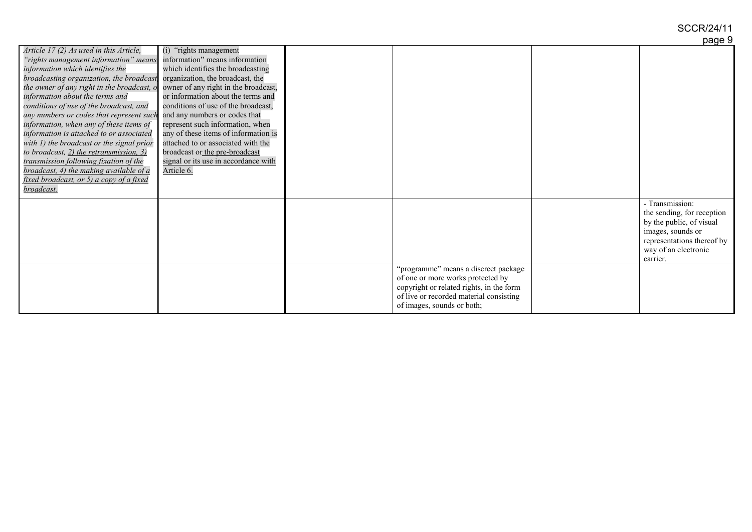|                                                                           |                                      |                                          | hañe a                     |
|---------------------------------------------------------------------------|--------------------------------------|------------------------------------------|----------------------------|
| Article 17 (2) As used in this Article,                                   | (i) "rights management"              |                                          |                            |
| "rights management information" means                                     | information" means information       |                                          |                            |
| information which identifies the                                          | which identifies the broadcasting    |                                          |                            |
| broadcasting organization, the broadcast organization, the broadcast, the |                                      |                                          |                            |
| the owner of any right in the broadcast, $o$                              | owner of any right in the broadcast, |                                          |                            |
| information about the terms and                                           | or information about the terms and   |                                          |                            |
| conditions of use of the broadcast, and                                   | conditions of use of the broadcast,  |                                          |                            |
| any numbers or codes that represent such                                  | and any numbers or codes that        |                                          |                            |
| information, when any of these items of                                   | represent such information, when     |                                          |                            |
| information is attached to or associated                                  | any of these items of information is |                                          |                            |
| with 1) the broadcast or the signal prior                                 | attached to or associated with the   |                                          |                            |
| to broadcast, 2) the retransmission, 3)                                   | broadcast or the pre-broadcast       |                                          |                            |
| transmission following fixation of the                                    | signal or its use in accordance with |                                          |                            |
| broadcast, 4) the making available of a                                   | Article 6.                           |                                          |                            |
| fixed broadcast, or 5) a copy of a fixed                                  |                                      |                                          |                            |
| broadcast.                                                                |                                      |                                          |                            |
|                                                                           |                                      |                                          | - Transmission:            |
|                                                                           |                                      |                                          | the sending, for reception |
|                                                                           |                                      |                                          | by the public, of visual   |
|                                                                           |                                      |                                          | images, sounds or          |
|                                                                           |                                      |                                          | representations thereof by |
|                                                                           |                                      |                                          | way of an electronic       |
|                                                                           |                                      |                                          | carrier.                   |
|                                                                           |                                      | "programme" means a discreet package     |                            |
|                                                                           |                                      | of one or more works protected by        |                            |
|                                                                           |                                      | copyright or related rights, in the form |                            |
|                                                                           |                                      | of live or recorded material consisting  |                            |
|                                                                           |                                      | of images, sounds or both;               |                            |
|                                                                           |                                      |                                          |                            |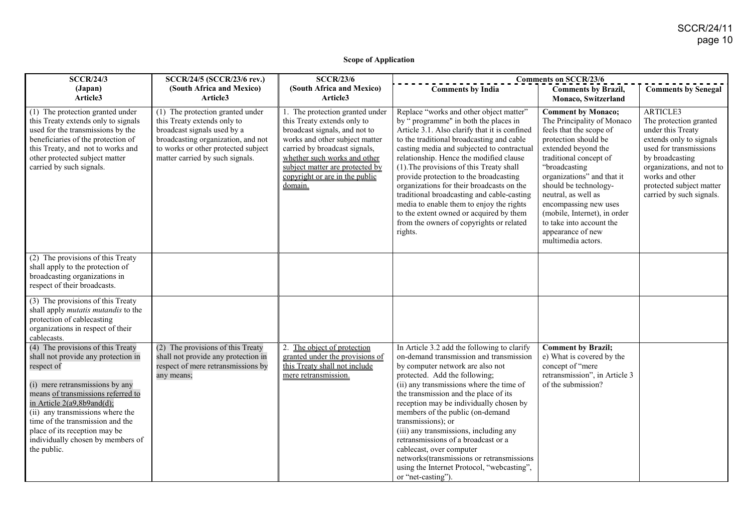#### **Scope of Application**

| <b>SCCR/24/3</b>                                                                                                                                                                                                                                                                                                                                           | SCCR/24/5 (SCCR/23/6 rev.)                                                                                                                                                                                     | <b>SCCR/23/6</b>                                                                                                                                                                                                                                                                   | <b>Comments on SCCR/23/6</b>                                                                                                                                                                                                                                                                                                                                                                                                                                                                                                                                                                           |                                                                                                                                                                                                                                                                                                                                                                                            |                                                                                                                                                                                                                                         |
|------------------------------------------------------------------------------------------------------------------------------------------------------------------------------------------------------------------------------------------------------------------------------------------------------------------------------------------------------------|----------------------------------------------------------------------------------------------------------------------------------------------------------------------------------------------------------------|------------------------------------------------------------------------------------------------------------------------------------------------------------------------------------------------------------------------------------------------------------------------------------|--------------------------------------------------------------------------------------------------------------------------------------------------------------------------------------------------------------------------------------------------------------------------------------------------------------------------------------------------------------------------------------------------------------------------------------------------------------------------------------------------------------------------------------------------------------------------------------------------------|--------------------------------------------------------------------------------------------------------------------------------------------------------------------------------------------------------------------------------------------------------------------------------------------------------------------------------------------------------------------------------------------|-----------------------------------------------------------------------------------------------------------------------------------------------------------------------------------------------------------------------------------------|
| (Japan)<br>Article3                                                                                                                                                                                                                                                                                                                                        | (South Africa and Mexico)<br>Article3                                                                                                                                                                          | (South Africa and Mexico)<br>Article3                                                                                                                                                                                                                                              | <b>Comments by India</b>                                                                                                                                                                                                                                                                                                                                                                                                                                                                                                                                                                               | <b>Comments by Brazil,</b><br>Monaco, Switzerland                                                                                                                                                                                                                                                                                                                                          | <b>Comments by Senegal</b>                                                                                                                                                                                                              |
| (1) The protection granted under<br>this Treaty extends only to signals<br>used for the transmissions by the<br>beneficiaries of the protection of<br>this Treaty, and not to works and<br>other protected subject matter<br>carried by such signals.                                                                                                      | (1) The protection granted under<br>this Treaty extends only to<br>broadcast signals used by a<br>broadcasting organization, and not<br>to works or other protected subject<br>matter carried by such signals. | 1. The protection granted under<br>this Treaty extends only to<br>broadcast signals, and not to<br>works and other subject matter<br>carried by broadcast signals,<br>whether such works and other<br>subject matter are protected by<br>copyright or are in the public<br>domain. | Replace "works and other object matter"<br>by " programme" in both the places in<br>Article 3.1. Also clarify that it is confined<br>to the traditional broadcasting and cable<br>casting media and subjected to contractual<br>relationship. Hence the modified clause<br>(1). The provisions of this Treaty shall<br>provide protection to the broadcasting<br>organizations for their broadcasts on the<br>traditional broadcasting and cable-casting<br>media to enable them to enjoy the rights<br>to the extent owned or acquired by them<br>from the owners of copyrights or related<br>rights. | <b>Comment by Monaco;</b><br>The Principality of Monaco<br>feels that the scope of<br>protection should be<br>extended beyond the<br>traditional concept of<br>"broadcasting<br>organizations" and that it<br>should be technology-<br>neutral, as well as<br>encompassing new uses<br>(mobile, Internet), in order<br>to take into account the<br>appearance of new<br>multimedia actors. | ARTICLE3<br>The protection granted<br>under this Treaty<br>extends only to signals<br>used for transmissions<br>by broadcasting<br>organizations, and not to<br>works and other<br>protected subject matter<br>carried by such signals. |
| (2) The provisions of this Treaty<br>shall apply to the protection of<br>broadcasting organizations in<br>respect of their broadcasts.                                                                                                                                                                                                                     |                                                                                                                                                                                                                |                                                                                                                                                                                                                                                                                    |                                                                                                                                                                                                                                                                                                                                                                                                                                                                                                                                                                                                        |                                                                                                                                                                                                                                                                                                                                                                                            |                                                                                                                                                                                                                                         |
| (3) The provisions of this Treaty<br>shall apply <i>mutatis mutandis</i> to the<br>protection of cablecasting<br>organizations in respect of their<br>cablecasts.                                                                                                                                                                                          |                                                                                                                                                                                                                |                                                                                                                                                                                                                                                                                    |                                                                                                                                                                                                                                                                                                                                                                                                                                                                                                                                                                                                        |                                                                                                                                                                                                                                                                                                                                                                                            |                                                                                                                                                                                                                                         |
| (4) The provisions of this Treaty<br>shall not provide any protection in<br>respect of<br>(i) mere retransmissions by any<br>means of transmissions referred to<br>in Article 2(a9,8b9and(d);<br>(ii) any transmissions where the<br>time of the transmission and the<br>place of its reception may be<br>individually chosen by members of<br>the public. | (2) The provisions of this Treaty<br>shall not provide any protection in<br>respect of mere retransmissions by<br>any means;                                                                                   | 2. The object of protection<br>granted under the provisions of<br>this Treaty shall not include<br>mere retransmission.                                                                                                                                                            | In Article 3.2 add the following to clarify<br>on-demand transmission and transmission<br>by computer network are also not<br>protected. Add the following;<br>(ii) any transmissions where the time of<br>the transmission and the place of its<br>reception may be individually chosen by<br>members of the public (on-demand<br>transmissions); or<br>(iii) any transmissions, including any<br>retransmissions of a broadcast or a<br>cablecast, over computer<br>networks(transmissions or retransmissions<br>using the Internet Protocol, "webcasting",<br>or "net-casting").                    | <b>Comment by Brazil;</b><br>e) What is covered by the<br>concept of "mere<br>retransmission", in Article 3<br>of the submission?                                                                                                                                                                                                                                                          |                                                                                                                                                                                                                                         |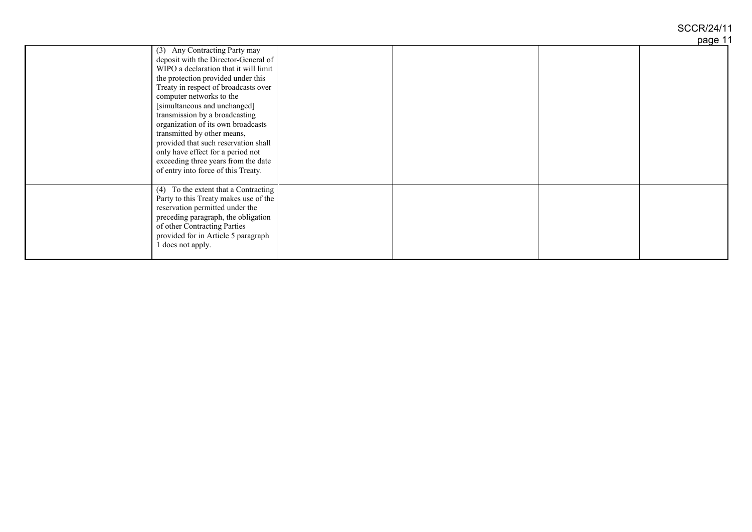## SCCR/24/11

page 11

|                                                                                                                                                                                                                                                                                                                                                                                                                                                                                                                            |  | rugu . |
|----------------------------------------------------------------------------------------------------------------------------------------------------------------------------------------------------------------------------------------------------------------------------------------------------------------------------------------------------------------------------------------------------------------------------------------------------------------------------------------------------------------------------|--|--------|
| (3) Any Contracting Party may<br>deposit with the Director-General of<br>WIPO a declaration that it will limit<br>the protection provided under this<br>Treaty in respect of broadcasts over<br>computer networks to the<br>[simultaneous and unchanged]<br>transmission by a broadcasting<br>organization of its own broadcasts<br>transmitted by other means,<br>provided that such reservation shall<br>only have effect for a period not<br>exceeding three years from the date<br>of entry into force of this Treaty. |  |        |
| (4) To the extent that a Contracting<br>Party to this Treaty makes use of the<br>reservation permitted under the<br>preceding paragraph, the obligation<br>of other Contracting Parties<br>provided for in Article 5 paragraph<br>1 does not apply.                                                                                                                                                                                                                                                                        |  |        |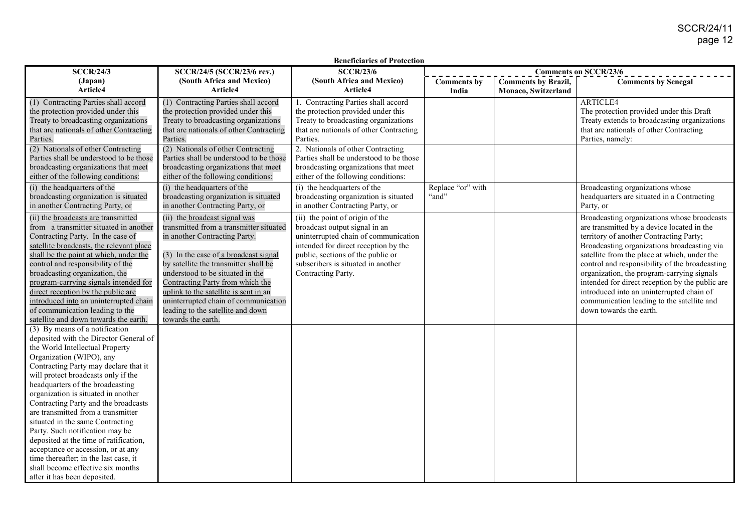| <b>SCCR/24/3</b>                                                                                                                                                                                                                                                                                                                                                                                                                                                                                                                                                                                                                                      | SCCR/24/5 (SCCR/23/6 rev.)                                                                                                                                                                                                                                                                                                                                                                                      | <b>Beneficiaries of Protection</b><br><b>SCCR/23/6</b>                                                                                                                                                                                            |                            |                            | <b>Comments on SCCR/23/6</b>                                                                                                                                                                                                                                                                                                                                                                                                                                                                                 |
|-------------------------------------------------------------------------------------------------------------------------------------------------------------------------------------------------------------------------------------------------------------------------------------------------------------------------------------------------------------------------------------------------------------------------------------------------------------------------------------------------------------------------------------------------------------------------------------------------------------------------------------------------------|-----------------------------------------------------------------------------------------------------------------------------------------------------------------------------------------------------------------------------------------------------------------------------------------------------------------------------------------------------------------------------------------------------------------|---------------------------------------------------------------------------------------------------------------------------------------------------------------------------------------------------------------------------------------------------|----------------------------|----------------------------|--------------------------------------------------------------------------------------------------------------------------------------------------------------------------------------------------------------------------------------------------------------------------------------------------------------------------------------------------------------------------------------------------------------------------------------------------------------------------------------------------------------|
| (Japan)                                                                                                                                                                                                                                                                                                                                                                                                                                                                                                                                                                                                                                               | (South Africa and Mexico)                                                                                                                                                                                                                                                                                                                                                                                       | (South Africa and Mexico)                                                                                                                                                                                                                         | <b>Comments by</b>         | <b>Comments by Brazil,</b> | <b>Comments by Senegal</b>                                                                                                                                                                                                                                                                                                                                                                                                                                                                                   |
| Article4                                                                                                                                                                                                                                                                                                                                                                                                                                                                                                                                                                                                                                              | Article4                                                                                                                                                                                                                                                                                                                                                                                                        | Article4                                                                                                                                                                                                                                          | India                      | Monaco, Switzerland        |                                                                                                                                                                                                                                                                                                                                                                                                                                                                                                              |
| (1) Contracting Parties shall accord<br>the protection provided under this<br>Treaty to broadcasting organizations                                                                                                                                                                                                                                                                                                                                                                                                                                                                                                                                    | (1) Contracting Parties shall accord<br>the protection provided under this<br>Treaty to broadcasting organizations                                                                                                                                                                                                                                                                                              | 1. Contracting Parties shall accord<br>the protection provided under this<br>Treaty to broadcasting organizations                                                                                                                                 |                            |                            | <b>ARTICLE4</b><br>The protection provided under this Draft<br>Treaty extends to broadcasting organizations                                                                                                                                                                                                                                                                                                                                                                                                  |
| that are nationals of other Contracting<br>Parties.                                                                                                                                                                                                                                                                                                                                                                                                                                                                                                                                                                                                   | that are nationals of other Contracting<br>Parties.                                                                                                                                                                                                                                                                                                                                                             | that are nationals of other Contracting<br>Parties.                                                                                                                                                                                               |                            |                            | that are nationals of other Contracting<br>Parties, namely:                                                                                                                                                                                                                                                                                                                                                                                                                                                  |
| (2) Nationals of other Contracting<br>Parties shall be understood to be those<br>broadcasting organizations that meet<br>either of the following conditions:                                                                                                                                                                                                                                                                                                                                                                                                                                                                                          | (2) Nationals of other Contracting<br>Parties shall be understood to be those<br>broadcasting organizations that meet<br>either of the following conditions:                                                                                                                                                                                                                                                    | 2. Nationals of other Contracting<br>Parties shall be understood to be those<br>broadcasting organizations that meet<br>either of the following conditions:                                                                                       |                            |                            |                                                                                                                                                                                                                                                                                                                                                                                                                                                                                                              |
| (i) the headquarters of the<br>broadcasting organization is situated<br>in another Contracting Party, or                                                                                                                                                                                                                                                                                                                                                                                                                                                                                                                                              | (i) the headquarters of the<br>broadcasting organization is situated<br>in another Contracting Party, or                                                                                                                                                                                                                                                                                                        | (i) the headquarters of the<br>broadcasting organization is situated<br>in another Contracting Party, or                                                                                                                                          | Replace "or" with<br>"and" |                            | Broadcasting organizations whose<br>headquarters are situated in a Contracting<br>Party, or                                                                                                                                                                                                                                                                                                                                                                                                                  |
| (ii) the broadcasts are transmitted<br>from a transmitter situated in another<br>Contracting Party. In the case of<br>satellite broadcasts, the relevant place<br>shall be the point at which, under the<br>control and responsibility of the<br>broadcasting organization, the<br>program-carrying signals intended for<br>direct reception by the public are<br>introduced into an uninterrupted chain<br>of communication leading to the<br>satellite and down towards the earth.                                                                                                                                                                  | (ii) the broadcast signal was<br>transmitted from a transmitter situated<br>in another Contracting Party.<br>(3) In the case of a broadcast signal<br>by satellite the transmitter shall be<br>understood to be situated in the<br>Contracting Party from which the<br>uplink to the satellite is sent in an<br>uninterrupted chain of communication<br>leading to the satellite and down<br>towards the earth. | (ii) the point of origin of the<br>broadcast output signal in an<br>uninterrupted chain of communication<br>intended for direct reception by the<br>public, sections of the public or<br>subscribers is situated in another<br>Contracting Party. |                            |                            | Broadcasting organizations whose broadcasts<br>are transmitted by a device located in the<br>territory of another Contracting Party;<br>Broadcasting organizations broadcasting via<br>satellite from the place at which, under the<br>control and responsibility of the broadcasting<br>organization, the program-carrying signals<br>intended for direct reception by the public are<br>introduced into an uninterrupted chain of<br>communication leading to the satellite and<br>down towards the earth. |
| (3) By means of a notification<br>deposited with the Director General of<br>the World Intellectual Property<br>Organization (WIPO), any<br>Contracting Party may declare that it<br>will protect broadcasts only if the<br>headquarters of the broadcasting<br>organization is situated in another<br>Contracting Party and the broadcasts<br>are transmitted from a transmitter<br>situated in the same Contracting<br>Party. Such notification may be<br>deposited at the time of ratification,<br>acceptance or accession, or at any<br>time thereafter; in the last case, it<br>shall become effective six months<br>after it has been deposited. |                                                                                                                                                                                                                                                                                                                                                                                                                 |                                                                                                                                                                                                                                                   |                            |                            |                                                                                                                                                                                                                                                                                                                                                                                                                                                                                                              |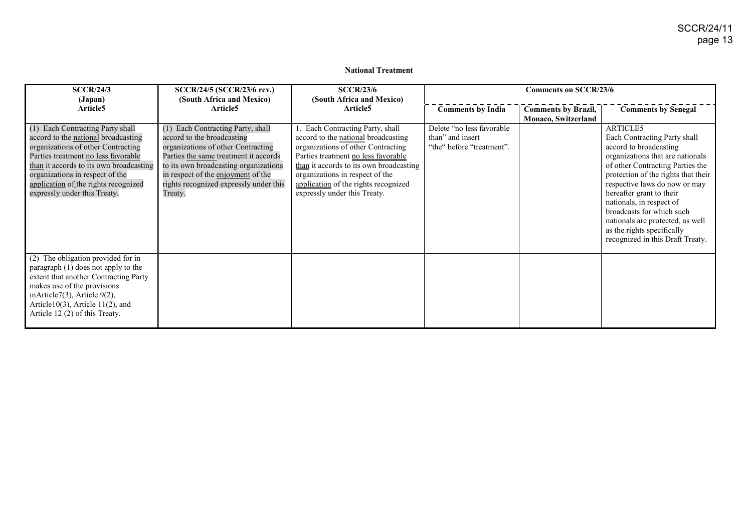#### **National Treatment**

| SCCR/24/3                                                                                                                                                                                                                                                                                                  | SCCR/24/5 (SCCR/23/6 rev.)                                                                                                                                                                                                                                                         | SCCR/23/6                                                                                                                                                                                                                                                                                                  |                                                                             | <b>Comments on SCCR/23/6</b> |                                                                                                                                                                                                                                                                                                                                                                                                               |
|------------------------------------------------------------------------------------------------------------------------------------------------------------------------------------------------------------------------------------------------------------------------------------------------------------|------------------------------------------------------------------------------------------------------------------------------------------------------------------------------------------------------------------------------------------------------------------------------------|------------------------------------------------------------------------------------------------------------------------------------------------------------------------------------------------------------------------------------------------------------------------------------------------------------|-----------------------------------------------------------------------------|------------------------------|---------------------------------------------------------------------------------------------------------------------------------------------------------------------------------------------------------------------------------------------------------------------------------------------------------------------------------------------------------------------------------------------------------------|
| (Japan)                                                                                                                                                                                                                                                                                                    | (South Africa and Mexico)                                                                                                                                                                                                                                                          | (South Africa and Mexico)                                                                                                                                                                                                                                                                                  |                                                                             |                              |                                                                                                                                                                                                                                                                                                                                                                                                               |
| Article <sub>5</sub>                                                                                                                                                                                                                                                                                       | Article5                                                                                                                                                                                                                                                                           | Article5                                                                                                                                                                                                                                                                                                   | <b>Comments by India</b>                                                    | <b>Comments by Brazil,</b>   | <b>Comments by Senegal</b>                                                                                                                                                                                                                                                                                                                                                                                    |
|                                                                                                                                                                                                                                                                                                            |                                                                                                                                                                                                                                                                                    |                                                                                                                                                                                                                                                                                                            |                                                                             | Monaco, Switzerland          |                                                                                                                                                                                                                                                                                                                                                                                                               |
| (1) Each Contracting Party shall<br>accord to the national broadcasting<br>organizations of other Contracting<br>Parties treatment no less favorable<br>than it accords to its own broadcasting<br>organizations in respect of the<br>application of the rights recognized<br>expressly under this Treaty. | (1) Each Contracting Party, shall<br>accord to the broadcasting<br>organizations of other Contracting<br>Parties the same treatment it accords<br>to its own broadcasting organizations<br>in respect of the enjoyment of the<br>rights recognized expressly under this<br>Treaty. | 1. Each Contracting Party, shall<br>accord to the national broadcasting<br>organizations of other Contracting<br>Parties treatment no less favorable<br>than it accords to its own broadcasting<br>organizations in respect of the<br>application of the rights recognized<br>expressly under this Treaty. | Delete "no less favorable"<br>than" and insert<br>"the" before "treatment". |                              | ARTICLE5<br>Each Contracting Party shall<br>accord to broadcasting<br>organizations that are nationals<br>of other Contracting Parties the<br>protection of the rights that their<br>respective laws do now or may<br>hereafter grant to their<br>nationals, in respect of<br>broadcasts for which such<br>nationals are protected, as well<br>as the rights specifically<br>recognized in this Draft Treaty. |
| (2) The obligation provided for in<br>paragraph (1) does not apply to the<br>extent that another Contracting Party<br>makes use of the provisions<br>inArticle7 $(3)$ , Article 9 $(2)$ ,<br>Article $10(3)$ , Article $11(2)$ , and<br>Article 12 (2) of this Treaty.                                     |                                                                                                                                                                                                                                                                                    |                                                                                                                                                                                                                                                                                                            |                                                                             |                              |                                                                                                                                                                                                                                                                                                                                                                                                               |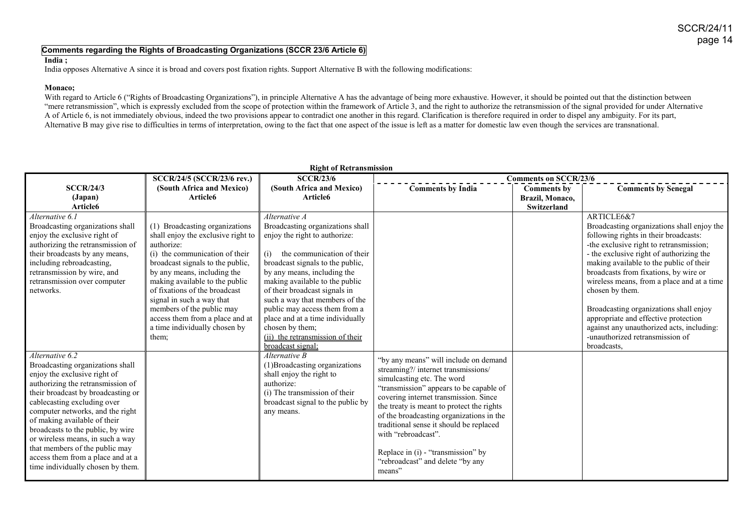#### **Comments regarding the Rights of Broadcasting Organizations (SCCR 23/6 Article 6)**

#### **India ;**

India opposes Alternative A since it is broad and covers post fixation rights. Support Alternative B with the following modifications:

#### **Monaco;**

With regard to Article 6 ("Rights of Broadcasting Organizations"), in principle Alternative A has the advantage of being more exhaustive. However, it should be pointed out that the distinction between "mere retransmission", which is expressly excluded from the scope of protection within the framework of Article 3, and the right to authorize the retransmission of the signal provided for under Alternative A of Article 6, is not immediately obvious, indeed the two provisions appear to contradict one another in this regard. Clarification is therefore required in order to dispel any ambiguity. For its part, Alternative B may give rise to difficulties in terms of interpretation, owing to the fact that one aspect of the issue is left as a matter for domestic law even though the services are transnational.

| <b>Right of Retransmission</b>                                                                                                                                                                                                                                                                                                                                                                                                                         |                                                                                                                                                                                                                                                                                                                                                                                                   |                                                                                                                                                                                                                                                                                                                                                                                                                                                  |                                                                                                                                                                                                                                                                                                                                                                                                                                               |                                                             |                                                                                                                                                                                                                                                                                                                                                                                                                                                                                                                                |  |
|--------------------------------------------------------------------------------------------------------------------------------------------------------------------------------------------------------------------------------------------------------------------------------------------------------------------------------------------------------------------------------------------------------------------------------------------------------|---------------------------------------------------------------------------------------------------------------------------------------------------------------------------------------------------------------------------------------------------------------------------------------------------------------------------------------------------------------------------------------------------|--------------------------------------------------------------------------------------------------------------------------------------------------------------------------------------------------------------------------------------------------------------------------------------------------------------------------------------------------------------------------------------------------------------------------------------------------|-----------------------------------------------------------------------------------------------------------------------------------------------------------------------------------------------------------------------------------------------------------------------------------------------------------------------------------------------------------------------------------------------------------------------------------------------|-------------------------------------------------------------|--------------------------------------------------------------------------------------------------------------------------------------------------------------------------------------------------------------------------------------------------------------------------------------------------------------------------------------------------------------------------------------------------------------------------------------------------------------------------------------------------------------------------------|--|
|                                                                                                                                                                                                                                                                                                                                                                                                                                                        | SCCR/24/5 (SCCR/23/6 rev.)                                                                                                                                                                                                                                                                                                                                                                        | <b>SCCR/23/6</b>                                                                                                                                                                                                                                                                                                                                                                                                                                 | <b>Comments on SCCR/23/6</b>                                                                                                                                                                                                                                                                                                                                                                                                                  |                                                             |                                                                                                                                                                                                                                                                                                                                                                                                                                                                                                                                |  |
| <b>SCCR/24/3</b><br>(Japan)<br>Article6                                                                                                                                                                                                                                                                                                                                                                                                                | (South Africa and Mexico)<br>Article6                                                                                                                                                                                                                                                                                                                                                             | (South Africa and Mexico)<br>Article6                                                                                                                                                                                                                                                                                                                                                                                                            | <b>Comments by India</b>                                                                                                                                                                                                                                                                                                                                                                                                                      | <b>Comments by</b><br>Brazil, Monaco,<br><b>Switzerland</b> | <b>Comments by Senegal</b>                                                                                                                                                                                                                                                                                                                                                                                                                                                                                                     |  |
| Alternative 6.1<br>Broadcasting organizations shall<br>enjoy the exclusive right of<br>authorizing the retransmission of<br>their broadcasts by any means,<br>including rebroadcasting,<br>retransmission by wire, and<br>retransmission over computer<br>networks.                                                                                                                                                                                    | (1) Broadcasting organizations<br>shall enjoy the exclusive right to<br>authorize:<br>(i) the communication of their<br>broadcast signals to the public,<br>by any means, including the<br>making available to the public<br>of fixations of the broadcast<br>signal in such a way that<br>members of the public may<br>access them from a place and at<br>a time individually chosen by<br>them; | Alternative A<br>Broadcasting organizations shall<br>enjoy the right to authorize:<br>the communication of their<br>(i)<br>broadcast signals to the public,<br>by any means, including the<br>making available to the public<br>of their broadcast signals in<br>such a way that members of the<br>public may access them from a<br>place and at a time individually<br>chosen by them;<br>(ii) the retransmission of their<br>broadcast signal; |                                                                                                                                                                                                                                                                                                                                                                                                                                               |                                                             | ARTICLE6&7<br>Broadcasting organizations shall enjoy the<br>following rights in their broadcasts:<br>-the exclusive right to retransmission;<br>- the exclusive right of authorizing the<br>making available to the public of their<br>broadcasts from fixations, by wire or<br>wireless means, from a place and at a time<br>chosen by them.<br>Broadcasting organizations shall enjoy<br>appropriate and effective protection<br>against any unauthorized acts, including:<br>-unauthorized retransmission of<br>broadcasts. |  |
| Alternative 6.2<br>Broadcasting organizations shall<br>enjoy the exclusive right of<br>authorizing the retransmission of<br>their broadcast by broadcasting or<br>cablecasting excluding over<br>computer networks, and the right<br>of making available of their<br>broadcasts to the public, by wire<br>or wireless means, in such a way<br>that members of the public may<br>access them from a place and at a<br>time individually chosen by them. |                                                                                                                                                                                                                                                                                                                                                                                                   | Alternative B<br>(1) Broadcasting organizations<br>shall enjoy the right to<br>authorize:<br>(i) The transmission of their<br>broadcast signal to the public by<br>any means.                                                                                                                                                                                                                                                                    | "by any means" will include on demand<br>streaming?/ internet transmissions/<br>simulcasting etc. The word<br>"transmission" appears to be capable of<br>covering internet transmission. Since<br>the treaty is meant to protect the rights<br>of the broadcasting organizations in the<br>traditional sense it should be replaced<br>with "rebroadcast".<br>Replace in (i) - "transmission" by<br>"rebroadcast" and delete "by any<br>means" |                                                             |                                                                                                                                                                                                                                                                                                                                                                                                                                                                                                                                |  |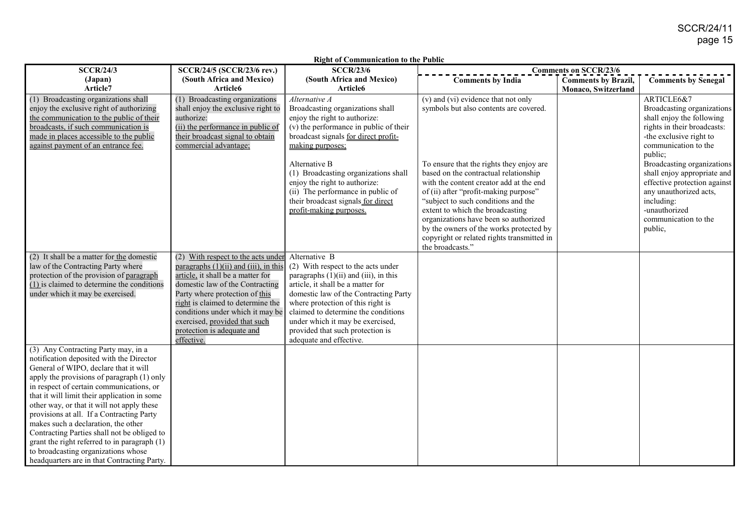| <b>SCCR/24/3</b>                                                                                                                                                                                                                                                                                                                                                                                                                                                                                                                                                                          | SCCR/24/5 (SCCR/23/6 rev.)                                                                                                                                                                                                                                                                                                                       | <b>SCCR/23/6</b>                                                                                                                                                                                                                                                                                                                                               | <b>Comments on SCCR/23/6</b>                                                                                                                                                                                                                                                                                                                                                                           |                                                   |                                                                                                                                                                                                  |
|-------------------------------------------------------------------------------------------------------------------------------------------------------------------------------------------------------------------------------------------------------------------------------------------------------------------------------------------------------------------------------------------------------------------------------------------------------------------------------------------------------------------------------------------------------------------------------------------|--------------------------------------------------------------------------------------------------------------------------------------------------------------------------------------------------------------------------------------------------------------------------------------------------------------------------------------------------|----------------------------------------------------------------------------------------------------------------------------------------------------------------------------------------------------------------------------------------------------------------------------------------------------------------------------------------------------------------|--------------------------------------------------------------------------------------------------------------------------------------------------------------------------------------------------------------------------------------------------------------------------------------------------------------------------------------------------------------------------------------------------------|---------------------------------------------------|--------------------------------------------------------------------------------------------------------------------------------------------------------------------------------------------------|
| (Japan)<br>Article7                                                                                                                                                                                                                                                                                                                                                                                                                                                                                                                                                                       | (South Africa and Mexico)<br>Article6                                                                                                                                                                                                                                                                                                            | (South Africa and Mexico)<br>Article6                                                                                                                                                                                                                                                                                                                          | <b>Comments by India</b>                                                                                                                                                                                                                                                                                                                                                                               | <b>Comments by Brazil,</b><br>Monaco, Switzerland | <b>Comments by Senegal</b>                                                                                                                                                                       |
| (1) Broadcasting organizations shall<br>enjoy the exclusive right of authorizing<br>the communication to the public of their<br>broadcasts, if such communication is<br>made in places accessible to the public<br>against payment of an entrance fee.                                                                                                                                                                                                                                                                                                                                    | (1) Broadcasting organizations<br>shall enjoy the exclusive right to<br>authorize:<br>(ii) the performance in public of<br>their broadcast signal to obtain<br>commercial advantage;                                                                                                                                                             | Alternative A<br>Broadcasting organizations shall<br>enjoy the right to authorize:<br>(v) the performance in public of their<br>broadcast signals for direct profit-<br>making purposes;                                                                                                                                                                       | $(v)$ and $(vi)$ evidence that not only<br>symbols but also contents are covered.                                                                                                                                                                                                                                                                                                                      |                                                   | ARTICLE6&7<br>Broadcasting organizations<br>shall enjoy the following<br>rights in their broadcasts:<br>-the exclusive right to<br>communication to the                                          |
|                                                                                                                                                                                                                                                                                                                                                                                                                                                                                                                                                                                           |                                                                                                                                                                                                                                                                                                                                                  | Alternative B<br>(1) Broadcasting organizations shall<br>enjoy the right to authorize:<br>(ii) The performance in public of<br>their broadcast signals for direct<br>profit-making purposes.                                                                                                                                                                   | To ensure that the rights they enjoy are<br>based on the contractual relationship<br>with the content creator add at the end<br>of (ii) after "profit-making purpose"<br>"subject to such conditions and the<br>extent to which the broadcasting<br>organizations have been so authorized<br>by the owners of the works protected by<br>copyright or related rights transmitted in<br>the broadcasts." |                                                   | public;<br>Broadcasting organizations<br>shall enjoy appropriate and<br>effective protection against<br>any unauthorized acts,<br>including:<br>-unauthorized<br>communication to the<br>public, |
| (2) It shall be a matter for the domestic<br>law of the Contracting Party where<br>protection of the provision of paragraph<br>(1) is claimed to determine the conditions<br>under which it may be exercised.                                                                                                                                                                                                                                                                                                                                                                             | (2) With respect to the acts under<br>paragraphs $(1)(ii)$ and $(iii)$ , in this<br>article, it shall be a matter for<br>domestic law of the Contracting<br>Party where protection of this<br>right is claimed to determine the<br>conditions under which it may be<br>exercised, provided that such<br>protection is adequate and<br>effective. | Alternative B<br>(2) With respect to the acts under<br>paragraphs $(1)(ii)$ and $(iii)$ , in this<br>article, it shall be a matter for<br>domestic law of the Contracting Party<br>where protection of this right is<br>claimed to determine the conditions<br>under which it may be exercised,<br>provided that such protection is<br>adequate and effective. |                                                                                                                                                                                                                                                                                                                                                                                                        |                                                   |                                                                                                                                                                                                  |
| (3) Any Contracting Party may, in a<br>notification deposited with the Director<br>General of WIPO, declare that it will<br>apply the provisions of paragraph (1) only<br>in respect of certain communications, or<br>that it will limit their application in some<br>other way, or that it will not apply these<br>provisions at all. If a Contracting Party<br>makes such a declaration, the other<br>Contracting Parties shall not be obliged to<br>grant the right referred to in paragraph (1)<br>to broadcasting organizations whose<br>headquarters are in that Contracting Party. |                                                                                                                                                                                                                                                                                                                                                  |                                                                                                                                                                                                                                                                                                                                                                |                                                                                                                                                                                                                                                                                                                                                                                                        |                                                   |                                                                                                                                                                                                  |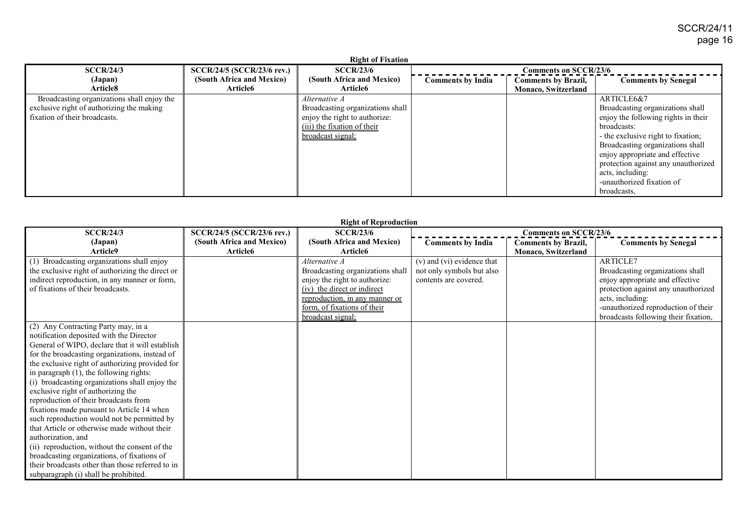| <b>Right of Fixation</b>                   |                            |                                  |                          |                              |                                     |  |
|--------------------------------------------|----------------------------|----------------------------------|--------------------------|------------------------------|-------------------------------------|--|
| SCCR/24/3                                  | SCCR/24/5 (SCCR/23/6 rev.) | SCCR/23/6                        |                          | <b>Comments on SCCR/23/6</b> |                                     |  |
| (Japan)                                    | (South Africa and Mexico)  | (South Africa and Mexico)        | <b>Comments by India</b> | <b>Comments by Brazil,</b>   | <b>Comments by Senegal</b>          |  |
| Article8                                   | Article6                   | Article6                         |                          | <b>Monaco, Switzerland</b>   |                                     |  |
| Broadcasting organizations shall enjoy the |                            | Alternative A                    |                          |                              | ARTICLE6&7                          |  |
| exclusive right of authorizing the making  |                            | Broadcasting organizations shall |                          |                              | Broadcasting organizations shall    |  |
| fixation of their broadcasts.              |                            | enjoy the right to authorize:    |                          |                              | enjoy the following rights in their |  |
|                                            |                            | (iii) the fixation of their      |                          |                              | broadcasts:                         |  |
|                                            |                            | broadcast signal:                |                          |                              | - the exclusive right to fixation;  |  |
|                                            |                            |                                  |                          |                              | Broadcasting organizations shall    |  |
|                                            |                            |                                  |                          |                              | enjoy appropriate and effective     |  |
|                                            |                            |                                  |                          |                              | protection against any unauthorized |  |
|                                            |                            |                                  |                          |                              | acts, including:                    |  |
|                                            |                            |                                  |                          |                              | -unauthorized fixation of           |  |
|                                            |                            |                                  |                          |                              | broadcasts.                         |  |

|                                                  | <b>Right of Reproduction</b>      |                                  |                            |                              |                                      |  |  |
|--------------------------------------------------|-----------------------------------|----------------------------------|----------------------------|------------------------------|--------------------------------------|--|--|
| SCCR/24/3                                        | <b>SCCR/24/5 (SCCR/23/6 rev.)</b> | SCCR/23/6                        |                            | <b>Comments on SCCR/23/6</b> |                                      |  |  |
| (Japan)                                          | (South Africa and Mexico)         | (South Africa and Mexico)        | <b>Comments by India</b>   | <b>Comments by Brazil,</b>   | <b>Comments by Senegal</b>           |  |  |
| Article9                                         | Article6                          | Article6                         |                            | Monaco, Switzerland          |                                      |  |  |
| (1) Broadcasting organizations shall enjoy       |                                   | Alternative A                    | (v) and (vi) evidence that |                              | <b>ARTICLE7</b>                      |  |  |
| the exclusive right of authorizing the direct or |                                   | Broadcasting organizations shall | not only symbols but also  |                              | Broadcasting organizations shall     |  |  |
| indirect reproduction, in any manner or form,    |                                   | enjoy the right to authorize:    | contents are covered.      |                              | enjoy appropriate and effective      |  |  |
| of fixations of their broadcasts.                |                                   | (iv) the direct or indirect      |                            |                              | protection against any unauthorized  |  |  |
|                                                  |                                   | reproduction, in any manner or   |                            |                              | acts, including:                     |  |  |
|                                                  |                                   | form, of fixations of their      |                            |                              | -unauthorized reproduction of their  |  |  |
|                                                  |                                   | <u>broadcast signal;</u>         |                            |                              | broadcasts following their fixation, |  |  |
| (2) Any Contracting Party may, in a              |                                   |                                  |                            |                              |                                      |  |  |
| notification deposited with the Director         |                                   |                                  |                            |                              |                                      |  |  |
| General of WIPO, declare that it will establish  |                                   |                                  |                            |                              |                                      |  |  |
| for the broadcasting organizations, instead of   |                                   |                                  |                            |                              |                                      |  |  |
| the exclusive right of authorizing provided for  |                                   |                                  |                            |                              |                                      |  |  |
| in paragraph (1), the following rights:          |                                   |                                  |                            |                              |                                      |  |  |
| (i) broadcasting organizations shall enjoy the   |                                   |                                  |                            |                              |                                      |  |  |
| exclusive right of authorizing the               |                                   |                                  |                            |                              |                                      |  |  |
| reproduction of their broadcasts from            |                                   |                                  |                            |                              |                                      |  |  |
| fixations made pursuant to Article 14 when       |                                   |                                  |                            |                              |                                      |  |  |
| such reproduction would not be permitted by      |                                   |                                  |                            |                              |                                      |  |  |
| that Article or otherwise made without their     |                                   |                                  |                            |                              |                                      |  |  |
| authorization, and                               |                                   |                                  |                            |                              |                                      |  |  |
| (ii) reproduction, without the consent of the    |                                   |                                  |                            |                              |                                      |  |  |
| broadcasting organizations, of fixations of      |                                   |                                  |                            |                              |                                      |  |  |
| their broadcasts other than those referred to in |                                   |                                  |                            |                              |                                      |  |  |
| subparagraph (i) shall be prohibited.            |                                   |                                  |                            |                              |                                      |  |  |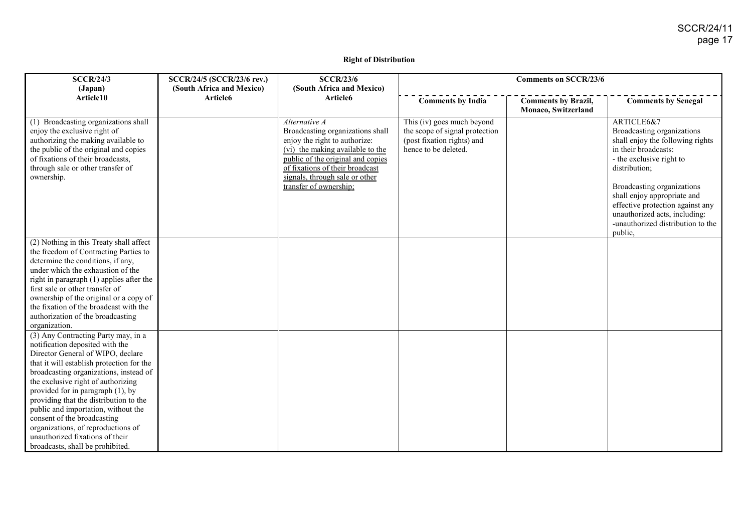#### **Right of Distribution**

| <b>SCCR/24/3</b>                                                                                                                                                                                                                                                                                                                                                                                                                                                                                           | <b>SCCR/24/5 (SCCR/23/6 rev.)</b> | <b>SCCR/23/6</b>                                                                                                                                                                                                                                           |                                                                                                                    | <b>Comments on SCCR/23/6</b>                      |                                                                                                                                                                                                                                                                                                                                     |
|------------------------------------------------------------------------------------------------------------------------------------------------------------------------------------------------------------------------------------------------------------------------------------------------------------------------------------------------------------------------------------------------------------------------------------------------------------------------------------------------------------|-----------------------------------|------------------------------------------------------------------------------------------------------------------------------------------------------------------------------------------------------------------------------------------------------------|--------------------------------------------------------------------------------------------------------------------|---------------------------------------------------|-------------------------------------------------------------------------------------------------------------------------------------------------------------------------------------------------------------------------------------------------------------------------------------------------------------------------------------|
| (Japan)                                                                                                                                                                                                                                                                                                                                                                                                                                                                                                    | (South Africa and Mexico)         | (South Africa and Mexico)                                                                                                                                                                                                                                  |                                                                                                                    |                                                   |                                                                                                                                                                                                                                                                                                                                     |
| Article10                                                                                                                                                                                                                                                                                                                                                                                                                                                                                                  | Article <sub>6</sub>              | Article6                                                                                                                                                                                                                                                   | <b>Comments by India</b>                                                                                           | <b>Comments by Brazil,</b><br>Monaco, Switzerland | <b>Comments by Senegal</b>                                                                                                                                                                                                                                                                                                          |
| (1) Broadcasting organizations shall<br>enjoy the exclusive right of<br>authorizing the making available to<br>the public of the original and copies<br>of fixations of their broadcasts,<br>through sale or other transfer of<br>ownership.                                                                                                                                                                                                                                                               |                                   | Alternative A<br>Broadcasting organizations shall<br>enjoy the right to authorize:<br>(vi) the making available to the<br>public of the original and copies<br>of fixations of their broadcast<br>signals, through sale or other<br>transfer of ownership; | This (iv) goes much beyond<br>the scope of signal protection<br>(post fixation rights) and<br>hence to be deleted. |                                                   | ARTICLE6&7<br>Broadcasting organizations<br>shall enjoy the following rights<br>in their broadcasts:<br>- the exclusive right to<br>distribution;<br>Broadcasting organizations<br>shall enjoy appropriate and<br>effective protection against any<br>unauthorized acts, including:<br>-unauthorized distribution to the<br>public, |
| (2) Nothing in this Treaty shall affect<br>the freedom of Contracting Parties to<br>determine the conditions, if any,<br>under which the exhaustion of the<br>right in paragraph (1) applies after the<br>first sale or other transfer of<br>ownership of the original or a copy of<br>the fixation of the broadcast with the<br>authorization of the broadcasting<br>organization.                                                                                                                        |                                   |                                                                                                                                                                                                                                                            |                                                                                                                    |                                                   |                                                                                                                                                                                                                                                                                                                                     |
| (3) Any Contracting Party may, in a<br>notification deposited with the<br>Director General of WIPO, declare<br>that it will establish protection for the<br>broadcasting organizations, instead of<br>the exclusive right of authorizing<br>provided for in paragraph (1), by<br>providing that the distribution to the<br>public and importation, without the<br>consent of the broadcasting<br>organizations, of reproductions of<br>unauthorized fixations of their<br>broadcasts, shall be prohibited. |                                   |                                                                                                                                                                                                                                                            |                                                                                                                    |                                                   |                                                                                                                                                                                                                                                                                                                                     |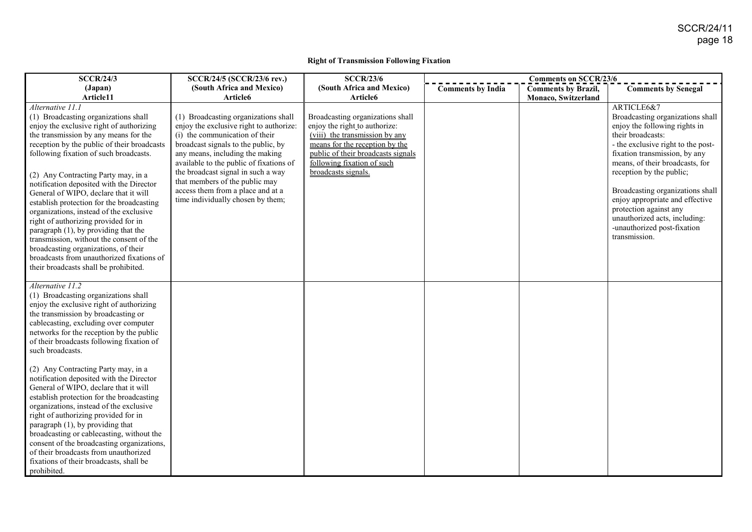#### **Right of Transmission Following Fixation**

| <b>SCCR/24/3</b>                                                                | SCCR/24/5 (SCCR/23/6 rev.)                                          | <b>SCCR/23/6</b>                   |                          | <b>Comments on SCCR/23/6</b> |                                    |
|---------------------------------------------------------------------------------|---------------------------------------------------------------------|------------------------------------|--------------------------|------------------------------|------------------------------------|
| (Japan)                                                                         | (South Africa and Mexico)                                           | (South Africa and Mexico)          | <b>Comments by India</b> | <b>Comments by Brazil,</b>   | <b>Comments by Senegal</b>         |
| Article11                                                                       | Article6                                                            | Article <sub>6</sub>               |                          | Monaco, Switzerland          |                                    |
| Alternative 11.1                                                                |                                                                     |                                    |                          |                              | ARTICLE6&7                         |
| (1) Broadcasting organizations shall                                            | (1) Broadcasting organizations shall                                | Broadcasting organizations shall   |                          |                              | Broadcasting organizations shall   |
| enjoy the exclusive right of authorizing                                        | enjoy the exclusive right to authorize:                             | enjoy the right to authorize:      |                          |                              | enjoy the following rights in      |
| the transmission by any means for the                                           | (i) the communication of their                                      | (viii) the transmission by any     |                          |                              | their broadcasts:                  |
| reception by the public of their broadcasts                                     | broadcast signals to the public, by                                 | means for the reception by the     |                          |                              | - the exclusive right to the post- |
| following fixation of such broadcasts.                                          | any means, including the making                                     | public of their broadcasts signals |                          |                              | fixation transmission, by any      |
|                                                                                 | available to the public of fixations of                             | following fixation of such         |                          |                              | means, of their broadcasts, for    |
| (2) Any Contracting Party may, in a                                             | the broadcast signal in such a way                                  | broadcasts signals.                |                          |                              | reception by the public;           |
| notification deposited with the Director                                        | that members of the public may<br>access them from a place and at a |                                    |                          |                              | Broadcasting organizations shall   |
| General of WIPO, declare that it will                                           | time individually chosen by them;                                   |                                    |                          |                              | enjoy appropriate and effective    |
| establish protection for the broadcasting                                       |                                                                     |                                    |                          |                              | protection against any             |
| organizations, instead of the exclusive                                         |                                                                     |                                    |                          |                              | unauthorized acts, including:      |
| right of authorizing provided for in<br>paragraph $(1)$ , by providing that the |                                                                     |                                    |                          |                              | -unauthorized post-fixation        |
| transmission, without the consent of the                                        |                                                                     |                                    |                          |                              | transmission.                      |
| broadcasting organizations, of their                                            |                                                                     |                                    |                          |                              |                                    |
| broadcasts from unauthorized fixations of                                       |                                                                     |                                    |                          |                              |                                    |
| their broadcasts shall be prohibited.                                           |                                                                     |                                    |                          |                              |                                    |
|                                                                                 |                                                                     |                                    |                          |                              |                                    |
| Alternative 11.2                                                                |                                                                     |                                    |                          |                              |                                    |
| (1) Broadcasting organizations shall                                            |                                                                     |                                    |                          |                              |                                    |
| enjoy the exclusive right of authorizing                                        |                                                                     |                                    |                          |                              |                                    |
| the transmission by broadcasting or                                             |                                                                     |                                    |                          |                              |                                    |
| cablecasting, excluding over computer                                           |                                                                     |                                    |                          |                              |                                    |
| networks for the reception by the public                                        |                                                                     |                                    |                          |                              |                                    |
| of their broadcasts following fixation of                                       |                                                                     |                                    |                          |                              |                                    |
| such broadcasts.                                                                |                                                                     |                                    |                          |                              |                                    |
| (2) Any Contracting Party may, in a                                             |                                                                     |                                    |                          |                              |                                    |
| notification deposited with the Director                                        |                                                                     |                                    |                          |                              |                                    |
| General of WIPO, declare that it will                                           |                                                                     |                                    |                          |                              |                                    |
| establish protection for the broadcasting                                       |                                                                     |                                    |                          |                              |                                    |
| organizations, instead of the exclusive                                         |                                                                     |                                    |                          |                              |                                    |
| right of authorizing provided for in                                            |                                                                     |                                    |                          |                              |                                    |
| paragraph $(1)$ , by providing that                                             |                                                                     |                                    |                          |                              |                                    |
| broadcasting or cablecasting, without the                                       |                                                                     |                                    |                          |                              |                                    |
| consent of the broadcasting organizations,                                      |                                                                     |                                    |                          |                              |                                    |
| of their broadcasts from unauthorized                                           |                                                                     |                                    |                          |                              |                                    |
| fixations of their broadcasts, shall be                                         |                                                                     |                                    |                          |                              |                                    |
| prohibited.                                                                     |                                                                     |                                    |                          |                              |                                    |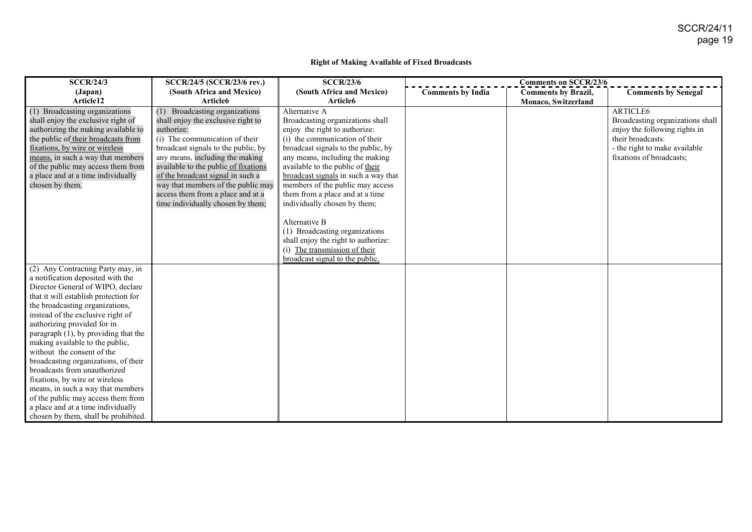#### **Right of Making Available of Fixed Broadcasts**

| <b>SCCR/24/3</b>                                                                                                                                                                                                                                                                                                                                                                                                                                                                                                                                                                                                                        | SCCR/24/5 (SCCR/23/6 rev.)                                                                                                                                                                                                                                                                                                                                                              | <b>SCCR/23/6</b>                                                                                                                                                                                                                                                                                                                                                                                                                                                                                             |                          | <b>Comments on SCCR/23/6</b> |                                                                                                                                                                 |
|-----------------------------------------------------------------------------------------------------------------------------------------------------------------------------------------------------------------------------------------------------------------------------------------------------------------------------------------------------------------------------------------------------------------------------------------------------------------------------------------------------------------------------------------------------------------------------------------------------------------------------------------|-----------------------------------------------------------------------------------------------------------------------------------------------------------------------------------------------------------------------------------------------------------------------------------------------------------------------------------------------------------------------------------------|--------------------------------------------------------------------------------------------------------------------------------------------------------------------------------------------------------------------------------------------------------------------------------------------------------------------------------------------------------------------------------------------------------------------------------------------------------------------------------------------------------------|--------------------------|------------------------------|-----------------------------------------------------------------------------------------------------------------------------------------------------------------|
| (Japan)                                                                                                                                                                                                                                                                                                                                                                                                                                                                                                                                                                                                                                 | (South Africa and Mexico)                                                                                                                                                                                                                                                                                                                                                               | (South Africa and Mexico)                                                                                                                                                                                                                                                                                                                                                                                                                                                                                    | <b>Comments by India</b> | <b>Comments by Brazil,</b>   | <b>Comments by Senegal</b>                                                                                                                                      |
| Article12                                                                                                                                                                                                                                                                                                                                                                                                                                                                                                                                                                                                                               | Article6                                                                                                                                                                                                                                                                                                                                                                                | Article6                                                                                                                                                                                                                                                                                                                                                                                                                                                                                                     |                          | Monaco, Switzerland          |                                                                                                                                                                 |
| (1) Broadcasting organizations<br>shall enjoy the exclusive right of<br>authorizing the making available to<br>the public of their broadcasts from<br>fixations, by wire or wireless<br>means, in such a way that members<br>of the public may access them from<br>a place and at a time individually<br>chosen by them.                                                                                                                                                                                                                                                                                                                | Broadcasting organizations<br>shall enjoy the exclusive right to<br>authorize:<br>(i) The communication of their<br>broadcast signals to the public, by<br>any means, including the making<br>available to the public of fixations<br>of the broadcast signal in such a<br>way that members of the public may<br>access them from a place and at a<br>time individually chosen by them; | Alternative A<br>Broadcasting organizations shall<br>enjoy the right to authorize:<br>(i) the communication of their<br>broadcast signals to the public, by<br>any means, including the making<br>available to the public of their<br>broadcast signals in such a way that<br>members of the public may access<br>them from a place and at a time<br>individually chosen by them;<br>Alternative B<br>(1) Broadcasting organizations<br>shall enjoy the right to authorize:<br>(i) The transmission of their |                          |                              | ARTICLE6<br>Broadcasting organizations shall<br>enjoy the following rights in<br>their broadcasts:<br>- the right to make available<br>fixations of broadcasts; |
|                                                                                                                                                                                                                                                                                                                                                                                                                                                                                                                                                                                                                                         |                                                                                                                                                                                                                                                                                                                                                                                         | broadcast signal to the public.                                                                                                                                                                                                                                                                                                                                                                                                                                                                              |                          |                              |                                                                                                                                                                 |
| (2) Any Contracting Party may, in<br>a notification deposited with the<br>Director General of WIPO, declare<br>that it will establish protection for<br>the broadcasting organizations,<br>instead of the exclusive right of<br>authorizing provided for in<br>paragraph (1), by providing that the<br>making available to the public,<br>without the consent of the<br>broadcasting organizations, of their<br>broadcasts from unauthorized<br>fixations, by wire or wireless<br>means, in such a way that members<br>of the public may access them from<br>a place and at a time individually<br>chosen by them, shall be prohibited. |                                                                                                                                                                                                                                                                                                                                                                                         |                                                                                                                                                                                                                                                                                                                                                                                                                                                                                                              |                          |                              |                                                                                                                                                                 |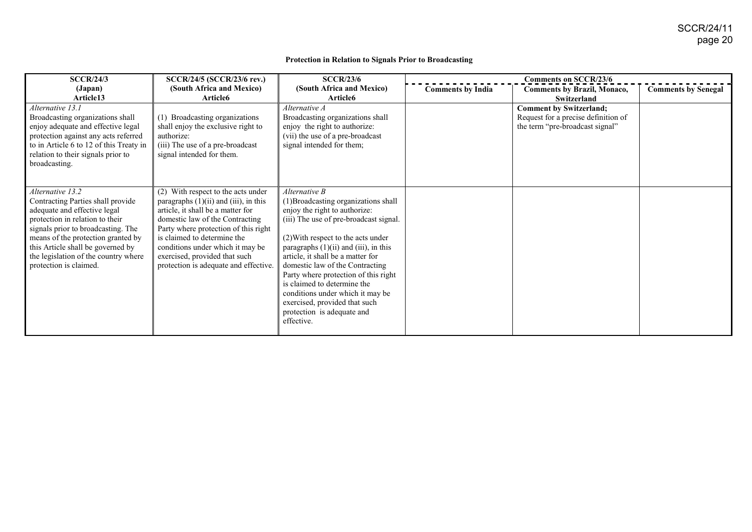#### **Protection in Relation to Signals Prior to Broadcasting**

| <b>SCCR/24/3</b>                                                                                                                                                                                                                                                                                            | <b>SCCR/24/5 (SCCR/23/6 rev.)</b>                                                                                                                                                                                                                                                                                                             | <b>SCCR/23/6</b>                                                                                                                                                                                                                                                                                                                                                                                                                                                                     | <b>Comments on SCCR/23/6</b> |                                                                                                                                |                            |
|-------------------------------------------------------------------------------------------------------------------------------------------------------------------------------------------------------------------------------------------------------------------------------------------------------------|-----------------------------------------------------------------------------------------------------------------------------------------------------------------------------------------------------------------------------------------------------------------------------------------------------------------------------------------------|--------------------------------------------------------------------------------------------------------------------------------------------------------------------------------------------------------------------------------------------------------------------------------------------------------------------------------------------------------------------------------------------------------------------------------------------------------------------------------------|------------------------------|--------------------------------------------------------------------------------------------------------------------------------|----------------------------|
| (Japan)                                                                                                                                                                                                                                                                                                     | (South Africa and Mexico)                                                                                                                                                                                                                                                                                                                     | (South Africa and Mexico)                                                                                                                                                                                                                                                                                                                                                                                                                                                            | <b>Comments by India</b>     | <b>Comments by Brazil, Monaco,</b>                                                                                             | <b>Comments by Senegal</b> |
| Article13<br>Alternative 13.1<br>Broadcasting organizations shall<br>enjoy adequate and effective legal<br>protection against any acts referred<br>to in Article 6 to 12 of this Treaty in<br>relation to their signals prior to<br>broadcasting.                                                           | Article6<br>(1) Broadcasting organizations<br>shall enjoy the exclusive right to<br>authorize:<br>(iii) The use of a pre-broadcast<br>signal intended for them.                                                                                                                                                                               | Article6<br>Alternative A<br>Broadcasting organizations shall<br>enjoy the right to authorize:<br>(vii) the use of a pre-broadcast<br>signal intended for them;                                                                                                                                                                                                                                                                                                                      |                              | <b>Switzerland</b><br><b>Comment by Switzerland;</b><br>Request for a precise definition of<br>the term "pre-broadcast signal" |                            |
| Alternative 13.2<br>Contracting Parties shall provide<br>adequate and effective legal<br>protection in relation to their<br>signals prior to broadcasting. The<br>means of the protection granted by<br>this Article shall be governed by<br>the legislation of the country where<br>protection is claimed. | (2) With respect to the acts under<br>paragraphs $(1)(ii)$ and $(iii)$ , in this<br>article, it shall be a matter for<br>domestic law of the Contracting<br>Party where protection of this right<br>is claimed to determine the<br>conditions under which it may be<br>exercised, provided that such<br>protection is adequate and effective. | Alternative B<br>(1) Broadcasting organizations shall<br>enjoy the right to authorize:<br>(iii) The use of pre-broadcast signal.<br>(2) With respect to the acts under<br>paragraphs $(1)(ii)$ and $(iii)$ , in this<br>article, it shall be a matter for<br>domestic law of the Contracting<br>Party where protection of this right<br>is claimed to determine the<br>conditions under which it may be<br>exercised, provided that such<br>protection is adequate and<br>effective. |                              |                                                                                                                                |                            |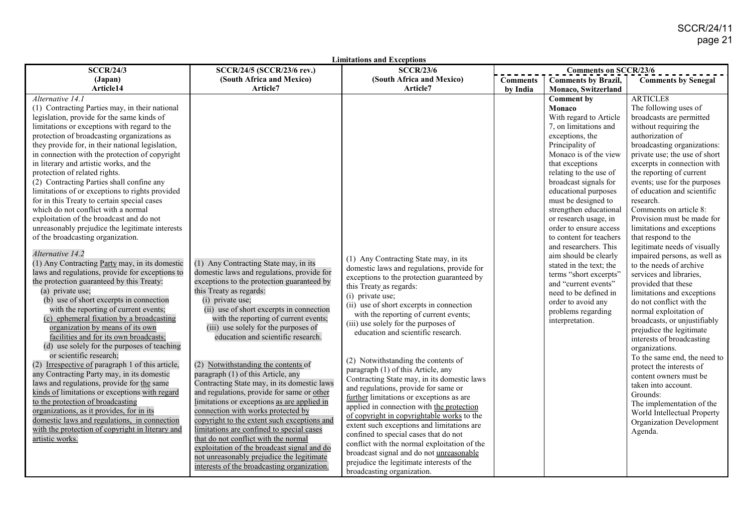| <b>Limitations and Exceptions</b>                |                                             |                                                                                          |                 |                              |                                                          |  |  |
|--------------------------------------------------|---------------------------------------------|------------------------------------------------------------------------------------------|-----------------|------------------------------|----------------------------------------------------------|--|--|
| <b>SCCR/24/3</b>                                 | SCCR/24/5 (SCCR/23/6 rev.)                  | <b>SCCR/23/6</b>                                                                         |                 | <b>Comments on SCCR/23/6</b> |                                                          |  |  |
| (Japan)                                          | (South Africa and Mexico)                   | (South Africa and Mexico)                                                                | <b>Comments</b> | <b>Comments by Brazil,</b>   | <b>Comments by Senegal</b>                               |  |  |
| Article14                                        | Article7                                    | Article7                                                                                 | by India        | <b>Monaco, Switzerland</b>   |                                                          |  |  |
| Alternative 14.1                                 |                                             |                                                                                          |                 | <b>Comment by</b>            | <b>ARTICLE8</b>                                          |  |  |
| (1) Contracting Parties may, in their national   |                                             |                                                                                          |                 | Monaco                       | The following uses of                                    |  |  |
| legislation, provide for the same kinds of       |                                             |                                                                                          |                 | With regard to Article       | broadcasts are permitted                                 |  |  |
| limitations or exceptions with regard to the     |                                             |                                                                                          |                 | 7, on limitations and        | without requiring the                                    |  |  |
| protection of broadcasting organizations as      |                                             |                                                                                          |                 | exceptions, the              | authorization of                                         |  |  |
| they provide for, in their national legislation, |                                             |                                                                                          |                 | Principality of              | broadcasting organizations:                              |  |  |
| in connection with the protection of copyright   |                                             |                                                                                          |                 | Monaco is of the view        | private use; the use of short                            |  |  |
| in literary and artistic works, and the          |                                             |                                                                                          |                 | that exceptions              | excerpts in connection with                              |  |  |
| protection of related rights.                    |                                             |                                                                                          |                 | relating to the use of       | the reporting of current                                 |  |  |
| (2) Contracting Parties shall confine any        |                                             |                                                                                          |                 | broadcast signals for        | events; use for the purposes                             |  |  |
| limitations of or exceptions to rights provided  |                                             |                                                                                          |                 | educational purposes         | of education and scientific                              |  |  |
| for in this Treaty to certain special cases      |                                             |                                                                                          |                 | must be designed to          | research.                                                |  |  |
| which do not conflict with a normal              |                                             |                                                                                          |                 | strengthen educational       | Comments on article 8:                                   |  |  |
| exploitation of the broadcast and do not         |                                             |                                                                                          |                 | or research usage, in        | Provision must be made for                               |  |  |
| unreasonably prejudice the legitimate interests  |                                             |                                                                                          |                 | order to ensure access       | limitations and exceptions                               |  |  |
| of the broadcasting organization.                |                                             |                                                                                          |                 | to content for teachers      | that respond to the                                      |  |  |
| Alternative 14.2                                 |                                             |                                                                                          |                 | and researchers. This        | legitimate needs of visually                             |  |  |
| $(1)$ Any Contracting Party may, in its domestic | (1) Any Contracting State may, in its       | (1) Any Contracting State may, in its                                                    |                 | aim should be clearly        | impaired persons, as well as                             |  |  |
| laws and regulations, provide for exceptions to  | domestic laws and regulations, provide for  | domestic laws and regulations, provide for                                               |                 | stated in the text; the      | to the needs of archive                                  |  |  |
| the protection guaranteed by this Treaty:        | exceptions to the protection guaranteed by  | exceptions to the protection guaranteed by                                               |                 | terms "short excerpts"       | services and libraries,                                  |  |  |
| (a) private use;                                 | this Treaty as regards:                     | this Treaty as regards:                                                                  |                 | and "current events"         | provided that these                                      |  |  |
| (b) use of short excerpts in connection          | (i) private use;                            | (i) private use;                                                                         |                 | need to be defined in        | limitations and exceptions<br>do not conflict with the   |  |  |
| with the reporting of current events;            | (ii) use of short excerpts in connection    | (ii) use of short excerpts in connection                                                 |                 | order to avoid any           |                                                          |  |  |
| (c) ephemeral fixation by a broadcasting         | with the reporting of current events;       | with the reporting of current events;                                                    |                 | problems regarding           | normal exploitation of                                   |  |  |
| organization by means of its own                 | (iii) use solely for the purposes of        | (iii) use solely for the purposes of                                                     |                 | interpretation.              | broadcasts, or unjustifiably<br>prejudice the legitimate |  |  |
| facilities and for its own broadcasts;           | education and scientific research.          | education and scientific research.                                                       |                 |                              | interests of broadcasting                                |  |  |
| (d) use solely for the purposes of teaching      |                                             |                                                                                          |                 |                              | organizations.                                           |  |  |
| or scientific research;                          |                                             |                                                                                          |                 |                              | To the same end, the need to                             |  |  |
| (2) Irrespective of paragraph 1 of this article, | (2) Notwithstanding the contents of         | (2) Notwithstanding the contents of                                                      |                 |                              | protect the interests of                                 |  |  |
| any Contracting Party may, in its domestic       | paragraph (1) of this Article, any          | paragraph (1) of this Article, any                                                       |                 |                              | content owners must be                                   |  |  |
| laws and regulations, provide for the same       | Contracting State may, in its domestic laws | Contracting State may, in its domestic laws                                              |                 |                              | taken into account.                                      |  |  |
| kinds of limitations or exceptions with regard   | and regulations, provide for same or other  | and regulations, provide for same or                                                     |                 |                              | Grounds:                                                 |  |  |
| to the protection of broadcasting                | limitations or exceptions as are applied in | further limitations or exceptions as are                                                 |                 |                              | The implementation of the                                |  |  |
| organizations, as it provides, for in its        | connection with works protected by          | applied in connection with the protection                                                |                 |                              | World Intellectual Property                              |  |  |
| domestic laws and regulations, in connection     | copyright to the extent such exceptions and | of copyright in copyrightable works to the<br>extent such exceptions and limitations are |                 |                              | Organization Development                                 |  |  |
| with the protection of copyright in literary and | limitations are confined to special cases   | confined to special cases that do not                                                    |                 |                              | Agenda.                                                  |  |  |
| artistic works.                                  | that do not conflict with the normal        | conflict with the normal exploitation of the                                             |                 |                              |                                                          |  |  |
|                                                  | exploitation of the broadcast signal and do | broadcast signal and do not unreasonable                                                 |                 |                              |                                                          |  |  |
|                                                  | not unreasonably prejudice the legitimate   | prejudice the legitimate interests of the                                                |                 |                              |                                                          |  |  |
|                                                  | interests of the broadcasting organization. | broadcasting organization.                                                               |                 |                              |                                                          |  |  |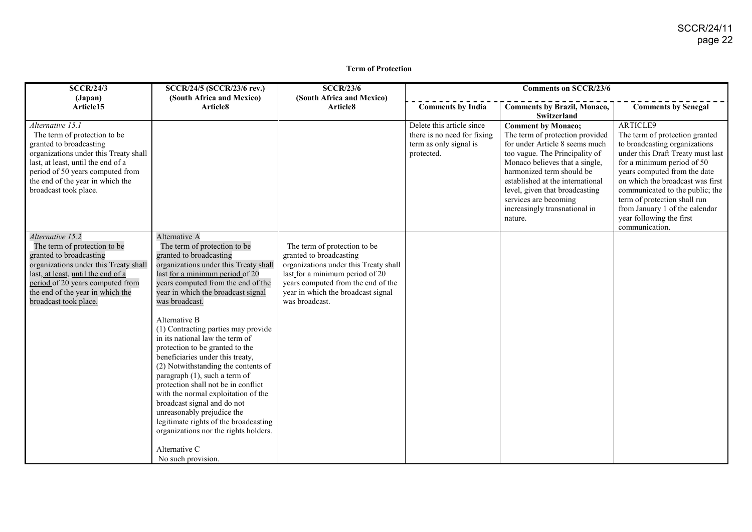#### **Term of Protection**

| <b>SCCR/24/3</b>                                                                                                                                                                                                                                            | SCCR/24/5 (SCCR/23/6 rev.)<br>(South Africa and Mexico)                                                                                                                                                                                                                                                                                                                                                                                                                                                                                                                                                                                                                                                                                                          | <b>SCCR/23/6</b>                                                                                                                                                                                                                  | <b>Comments on SCCR/23/6</b>                                                                     |                                                                                                                                                                                                                                                                                                                                            |                                                                                                                                                                                                                                                                                                                                                                       |
|-------------------------------------------------------------------------------------------------------------------------------------------------------------------------------------------------------------------------------------------------------------|------------------------------------------------------------------------------------------------------------------------------------------------------------------------------------------------------------------------------------------------------------------------------------------------------------------------------------------------------------------------------------------------------------------------------------------------------------------------------------------------------------------------------------------------------------------------------------------------------------------------------------------------------------------------------------------------------------------------------------------------------------------|-----------------------------------------------------------------------------------------------------------------------------------------------------------------------------------------------------------------------------------|--------------------------------------------------------------------------------------------------|--------------------------------------------------------------------------------------------------------------------------------------------------------------------------------------------------------------------------------------------------------------------------------------------------------------------------------------------|-----------------------------------------------------------------------------------------------------------------------------------------------------------------------------------------------------------------------------------------------------------------------------------------------------------------------------------------------------------------------|
| (Japan)<br>Article15                                                                                                                                                                                                                                        | Article8                                                                                                                                                                                                                                                                                                                                                                                                                                                                                                                                                                                                                                                                                                                                                         | (South Africa and Mexico)<br>Article8                                                                                                                                                                                             | <b>Comments by India</b>                                                                         | <b>Comments by Brazil, Monaco,</b><br><b>Switzerland</b>                                                                                                                                                                                                                                                                                   | <b>Comments by Senegal</b>                                                                                                                                                                                                                                                                                                                                            |
| Alternative 15.1<br>The term of protection to be<br>granted to broadcasting<br>organizations under this Treaty shall<br>last, at least, until the end of a<br>period of 50 years computed from<br>the end of the year in which the<br>broadcast took place. |                                                                                                                                                                                                                                                                                                                                                                                                                                                                                                                                                                                                                                                                                                                                                                  |                                                                                                                                                                                                                                   | Delete this article since<br>there is no need for fixing<br>term as only signal is<br>protected. | <b>Comment by Monaco;</b><br>The term of protection provided<br>for under Article 8 seems much<br>too vague. The Principality of<br>Monaco believes that a single,<br>harmonized term should be<br>established at the international<br>level, given that broadcasting<br>services are becoming<br>increasingly transnational in<br>nature. | ARTICLE9<br>The term of protection granted<br>to broadcasting organizations<br>under this Draft Treaty must last<br>for a minimum period of 50<br>years computed from the date<br>on which the broadcast was first<br>communicated to the public; the<br>term of protection shall run<br>from January 1 of the calendar<br>year following the first<br>communication. |
| Alternative 15.2<br>The term of protection to be<br>granted to broadcasting<br>organizations under this Treaty shall<br>last, at least, until the end of a<br>period of 20 years computed from<br>the end of the year in which the<br>broadcast took place. | Alternative A<br>The term of protection to be<br>granted to broadcasting<br>organizations under this Treaty shall<br>last for a minimum period of 20<br>years computed from the end of the<br>year in which the broadcast signal<br>was broadcast.<br>Alternative B<br>(1) Contracting parties may provide<br>in its national law the term of<br>protection to be granted to the<br>beneficiaries under this treaty,<br>(2) Notwithstanding the contents of<br>paragraph (1), such a term of<br>protection shall not be in conflict<br>with the normal exploitation of the<br>broadcast signal and do not<br>unreasonably prejudice the<br>legitimate rights of the broadcasting<br>organizations nor the rights holders.<br>Alternative C<br>No such provision. | The term of protection to be<br>granted to broadcasting<br>organizations under this Treaty shall<br>last for a minimum period of 20<br>years computed from the end of the<br>year in which the broadcast signal<br>was broadcast. |                                                                                                  |                                                                                                                                                                                                                                                                                                                                            |                                                                                                                                                                                                                                                                                                                                                                       |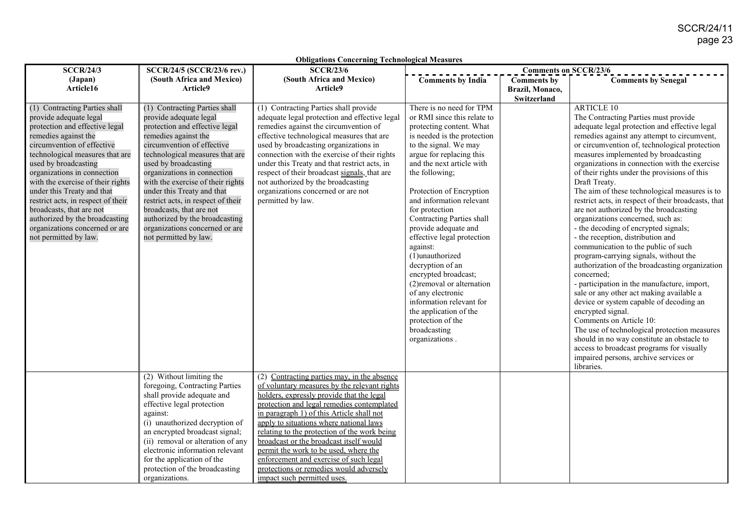| <b>Obligations Concerning Technological Measures</b>                                                                                                                                                                                                                                                                                                                                                                                                                        |                                                                                                                                                                                                                                                                                                                                                                                                                                                                             |                                                                                                                                                                                                                                                                                                                                                                                                                                                                                                                                        |                                                                                                                                                                                                                                                                                                                                                                                                                                                                                                                                                                                                                                |                                                      |                                                                                                                                                                                                                                                                                                                                                                                                                                                                                                                                                                                                                                                                                                                                                                                                                                                                                                                                                                                                                                                                                                                                                                                  |
|-----------------------------------------------------------------------------------------------------------------------------------------------------------------------------------------------------------------------------------------------------------------------------------------------------------------------------------------------------------------------------------------------------------------------------------------------------------------------------|-----------------------------------------------------------------------------------------------------------------------------------------------------------------------------------------------------------------------------------------------------------------------------------------------------------------------------------------------------------------------------------------------------------------------------------------------------------------------------|----------------------------------------------------------------------------------------------------------------------------------------------------------------------------------------------------------------------------------------------------------------------------------------------------------------------------------------------------------------------------------------------------------------------------------------------------------------------------------------------------------------------------------------|--------------------------------------------------------------------------------------------------------------------------------------------------------------------------------------------------------------------------------------------------------------------------------------------------------------------------------------------------------------------------------------------------------------------------------------------------------------------------------------------------------------------------------------------------------------------------------------------------------------------------------|------------------------------------------------------|----------------------------------------------------------------------------------------------------------------------------------------------------------------------------------------------------------------------------------------------------------------------------------------------------------------------------------------------------------------------------------------------------------------------------------------------------------------------------------------------------------------------------------------------------------------------------------------------------------------------------------------------------------------------------------------------------------------------------------------------------------------------------------------------------------------------------------------------------------------------------------------------------------------------------------------------------------------------------------------------------------------------------------------------------------------------------------------------------------------------------------------------------------------------------------|
| <b>SCCR/24/3</b>                                                                                                                                                                                                                                                                                                                                                                                                                                                            | SCCR/24/5 (SCCR/23/6 rev.)                                                                                                                                                                                                                                                                                                                                                                                                                                                  | <b>SCCR/23/6</b>                                                                                                                                                                                                                                                                                                                                                                                                                                                                                                                       | <b>Comments on SCCR/23/6</b>                                                                                                                                                                                                                                                                                                                                                                                                                                                                                                                                                                                                   |                                                      |                                                                                                                                                                                                                                                                                                                                                                                                                                                                                                                                                                                                                                                                                                                                                                                                                                                                                                                                                                                                                                                                                                                                                                                  |
| (Japan)<br>Article16                                                                                                                                                                                                                                                                                                                                                                                                                                                        | (South Africa and Mexico)<br>Article9                                                                                                                                                                                                                                                                                                                                                                                                                                       | (South Africa and Mexico)<br>Article9                                                                                                                                                                                                                                                                                                                                                                                                                                                                                                  | <b>Comments by India</b>                                                                                                                                                                                                                                                                                                                                                                                                                                                                                                                                                                                                       | <b>Comments by</b><br>Brazil, Monaco,<br>Switzerland | <b>Comments by Senegal</b>                                                                                                                                                                                                                                                                                                                                                                                                                                                                                                                                                                                                                                                                                                                                                                                                                                                                                                                                                                                                                                                                                                                                                       |
| (1) Contracting Parties shall<br>provide adequate legal<br>protection and effective legal<br>remedies against the<br>circumvention of effective<br>technological measures that are<br>used by broadcasting<br>organizations in connection<br>with the exercise of their rights<br>under this Treaty and that<br>restrict acts, in respect of their<br>broadcasts, that are not<br>authorized by the broadcasting<br>organizations concerned or are<br>not permitted by law. | (1) Contracting Parties shall<br>provide adequate legal<br>protection and effective legal<br>remedies against the<br>circumvention of effective<br>technological measures that are<br>used by broadcasting<br>organizations in connection<br>with the exercise of their rights<br>under this Treaty and that<br>restrict acts, in respect of their<br>broadcasts, that are not<br>authorized by the broadcasting<br>organizations concerned or are<br>not permitted by law. | (1) Contracting Parties shall provide<br>adequate legal protection and effective legal<br>remedies against the circumvention of<br>effective technological measures that are<br>used by broadcasting organizations in<br>connection with the exercise of their rights<br>under this Treaty and that restrict acts, in<br>respect of their broadcast signals, that are<br>not authorized by the broadcasting<br>organizations concerned or are not<br>permitted by law.                                                                 | There is no need for TPM<br>or RMI since this relate to<br>protecting content. What<br>is needed is the protection<br>to the signal. We may<br>argue for replacing this<br>and the next article with<br>the following;<br>Protection of Encryption<br>and information relevant<br>for protection<br>Contracting Parties shall<br>provide adequate and<br>effective legal protection<br>against:<br>(1)unauthorized<br>decryption of an<br>encrypted broadcast;<br>(2) removal or alternation<br>of any electronic<br>information relevant for<br>the application of the<br>protection of the<br>broadcasting<br>organizations. |                                                      | <b>ARTICLE 10</b><br>The Contracting Parties must provide<br>adequate legal protection and effective legal<br>remedies against any attempt to circumvent,<br>or circumvention of, technological protection<br>measures implemented by broadcasting<br>organizations in connection with the exercise<br>of their rights under the provisions of this<br>Draft Treaty.<br>The aim of these technological measures is to<br>restrict acts, in respect of their broadcasts, that<br>are not authorized by the broadcasting<br>organizations concerned, such as:<br>- the decoding of encrypted signals;<br>- the reception, distribution and<br>communication to the public of such<br>program-carrying signals, without the<br>authorization of the broadcasting organization<br>concerned;<br>- participation in the manufacture, import,<br>sale or any other act making available a<br>device or system capable of decoding an<br>encrypted signal.<br>Comments on Article 10:<br>The use of technological protection measures<br>should in no way constitute an obstacle to<br>access to broadcast programs for visually<br>impaired persons, archive services or<br>libraries. |
|                                                                                                                                                                                                                                                                                                                                                                                                                                                                             | (2) Without limiting the<br>foregoing, Contracting Parties<br>shall provide adequate and<br>effective legal protection<br>against:<br>(i) unauthorized decryption of<br>an encrypted broadcast signal;<br>(ii) removal or alteration of any<br>electronic information relevant<br>for the application of the<br>protection of the broadcasting<br>organizations.                                                                                                            | (2) Contracting parties may, in the absence<br>of voluntary measures by the relevant rights<br>holders, expressly provide that the legal<br>protection and legal remedies contemplated<br>in paragraph 1) of this Article shall not<br>apply to situations where national laws<br>relating to the protection of the work being<br>broadcast or the broadcast itself would<br>permit the work to be used, where the<br>enforcement and exercise of such legal<br>protections or remedies would adversely<br>impact such permitted uses. |                                                                                                                                                                                                                                                                                                                                                                                                                                                                                                                                                                                                                                |                                                      |                                                                                                                                                                                                                                                                                                                                                                                                                                                                                                                                                                                                                                                                                                                                                                                                                                                                                                                                                                                                                                                                                                                                                                                  |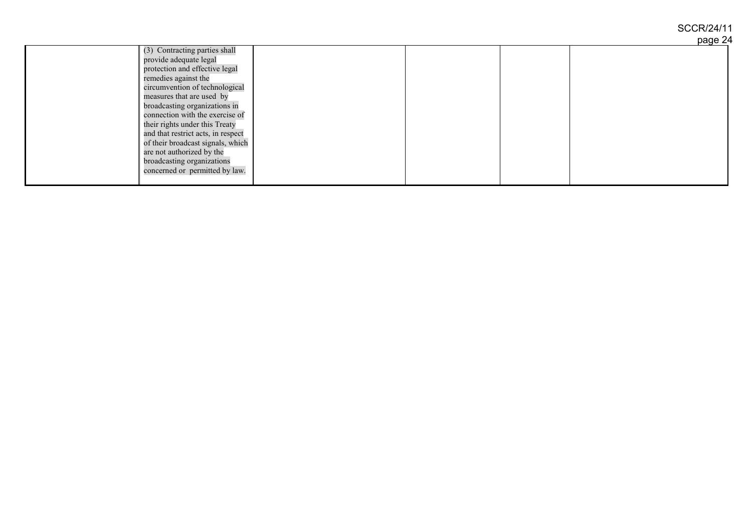## SCCR/24/11

|                                    |  | page 24 |
|------------------------------------|--|---------|
| (3) Contracting parties shall      |  |         |
| provide adequate legal             |  |         |
| protection and effective legal     |  |         |
| remedies against the               |  |         |
| circumvention of technological     |  |         |
| measures that are used by          |  |         |
| broadcasting organizations in      |  |         |
| connection with the exercise of    |  |         |
| their rights under this Treaty     |  |         |
| and that restrict acts, in respect |  |         |
| of their broadcast signals, which  |  |         |
| are not authorized by the          |  |         |
| broadcasting organizations         |  |         |
| concerned or permitted by law.     |  |         |
|                                    |  |         |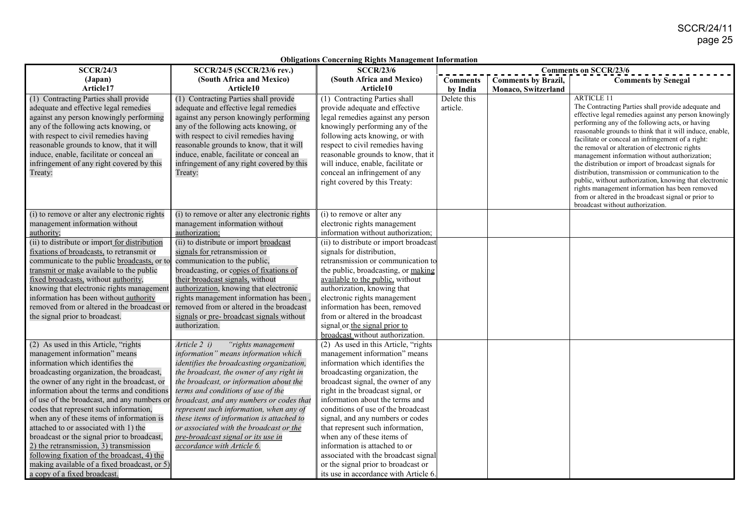| <b>SCCR/24/3</b>                                    | SCCR/24/5 (SCCR/23/6 rev.)                   | Obligations Concerning Rights Management Information<br><b>SCCR/23/6</b> |                 |                            | <b>Comments on SCCR/23/6</b>                                                                         |
|-----------------------------------------------------|----------------------------------------------|--------------------------------------------------------------------------|-----------------|----------------------------|------------------------------------------------------------------------------------------------------|
| (Japan)                                             | (South Africa and Mexico)                    | (South Africa and Mexico)                                                | <b>Comments</b> | <b>Comments by Brazil,</b> | <b>Comments by Senegal</b>                                                                           |
| Article17                                           | Article10                                    | Article10                                                                | by India        | Monaco, Switzerland        |                                                                                                      |
| (1) Contracting Parties shall provide               | (1) Contracting Parties shall provide        | (1) Contracting Parties shall                                            | Delete this     |                            | <b>ARTICLE 11</b>                                                                                    |
| adequate and effective legal remedies               | adequate and effective legal remedies        | provide adequate and effective                                           | article.        |                            | The Contracting Parties shall provide adequate and                                                   |
| against any person knowingly performing             | against any person knowingly performing      | legal remedies against any person                                        |                 |                            | effective legal remedies against any person knowingly                                                |
| any of the following acts knowing, or               | any of the following acts knowing, or        | knowingly performing any of the                                          |                 |                            | performing any of the following acts, or having                                                      |
| with respect to civil remedies having               | with respect to civil remedies having        | following acts knowing, or with                                          |                 |                            | reasonable grounds to think that it will induce, enable,                                             |
| reasonable grounds to know, that it will            | reasonable grounds to know, that it will     | respect to civil remedies having                                         |                 |                            | facilitate or conceal an infringement of a right:                                                    |
| induce, enable, facilitate or conceal an            | induce, enable, facilitate or conceal an     | reasonable grounds to know, that it                                      |                 |                            | the removal or alteration of electronic rights                                                       |
| infringement of any right covered by this           | infringement of any right covered by this    | will induce, enable, facilitate or                                       |                 |                            | management information without authorization;<br>the distribution or import of broadcast signals for |
| Treaty:                                             | Treaty:                                      | conceal an infringement of any                                           |                 |                            | distribution, transmission or communication to the                                                   |
|                                                     |                                              | right covered by this Treaty:                                            |                 |                            | public, without authorization, knowing that electronic                                               |
|                                                     |                                              |                                                                          |                 |                            | rights management information has been removed                                                       |
|                                                     |                                              |                                                                          |                 |                            | from or altered in the broadcast signal or prior to                                                  |
|                                                     |                                              |                                                                          |                 |                            | broadcast without authorization.                                                                     |
| (i) to remove or alter any electronic rights        | (i) to remove or alter any electronic rights | (i) to remove or alter any                                               |                 |                            |                                                                                                      |
| management information without                      | management information without               | electronic rights management                                             |                 |                            |                                                                                                      |
| authority;                                          | authorization;                               | information without authorization;                                       |                 |                            |                                                                                                      |
| (ii) to distribute or import for distribution       | (ii) to distribute or import broadcast       | (ii) to distribute or import broadcast                                   |                 |                            |                                                                                                      |
| fixations of broadcasts, to retransmit or           | signals for retransmission or                | signals for distribution,                                                |                 |                            |                                                                                                      |
| communicate to the public <b>broadcasts</b> , or to | communication to the public,                 | retransmission or communication to                                       |                 |                            |                                                                                                      |
| transmit or make available to the public            | broadcasting, or copies of fixations of      | the public, broadcasting, or making                                      |                 |                            |                                                                                                      |
| fixed broadcasts, without authority,                | their broadcast signals, without             | available to the public, without                                         |                 |                            |                                                                                                      |
| knowing that electronic rights management           | authorization, knowing that electronic       | authorization, knowing that                                              |                 |                            |                                                                                                      |
| information has been without authority              | rights management information has been.      | electronic rights management                                             |                 |                            |                                                                                                      |
| removed from or altered in the broadcast or         | removed from or altered in the broadcast     | information has been, removed                                            |                 |                            |                                                                                                      |
| the signal prior to broadcast.                      | signals or pre- broadcast signals without    | from or altered in the broadcast                                         |                 |                            |                                                                                                      |
|                                                     | authorization.                               | signal or the signal prior to                                            |                 |                            |                                                                                                      |
|                                                     |                                              | broadcast without authorization.                                         |                 |                            |                                                                                                      |
| (2) As used in this Article, "rights                | Article 2 i)<br>"rights management           | (2) As used in this Article, "rights                                     |                 |                            |                                                                                                      |
| management information" means                       | information" means information which         | management information" means                                            |                 |                            |                                                                                                      |
| information which identifies the                    | identifies the broadcasting organization,    | information which identifies the                                         |                 |                            |                                                                                                      |
| broadcasting organization, the broadcast,           | the broadcast, the owner of any right in     | broadcasting organization, the                                           |                 |                            |                                                                                                      |
| the owner of any right in the broadcast, or         | the broadcast, or information about the      | broadcast signal, the owner of any                                       |                 |                            |                                                                                                      |
| information about the terms and conditions          | terms and conditions of use of the           | right in the broadcast signal, or                                        |                 |                            |                                                                                                      |
| of use of the broadcast, and any numbers or         | broadcast, and any numbers or codes that     | information about the terms and                                          |                 |                            |                                                                                                      |
| codes that represent such information,              | represent such information, when any of      | conditions of use of the broadcast                                       |                 |                            |                                                                                                      |
| when any of these items of information is           | these items of information is attached to    | signal, and any numbers or codes                                         |                 |                            |                                                                                                      |
| attached to or associated with 1) the               | or associated with the broadcast or the      | that represent such information,                                         |                 |                            |                                                                                                      |
| broadcast or the signal prior to broadcast,         | pre-broadcast signal or its use in           | when any of these items of                                               |                 |                            |                                                                                                      |
| 2) the retransmission, 3) transmission              | accordance with Article 6.                   | information is attached to or                                            |                 |                            |                                                                                                      |
| following fixation of the broadcast, 4) the         |                                              | associated with the broadcast signal                                     |                 |                            |                                                                                                      |
| making available of a fixed broadcast, or 5)        |                                              | or the signal prior to broadcast or                                      |                 |                            |                                                                                                      |
| a copy of a fixed broadcast.                        |                                              | its use in accordance with Article 6.                                    |                 |                            |                                                                                                      |

**Obligations Concerning Rights Management Information**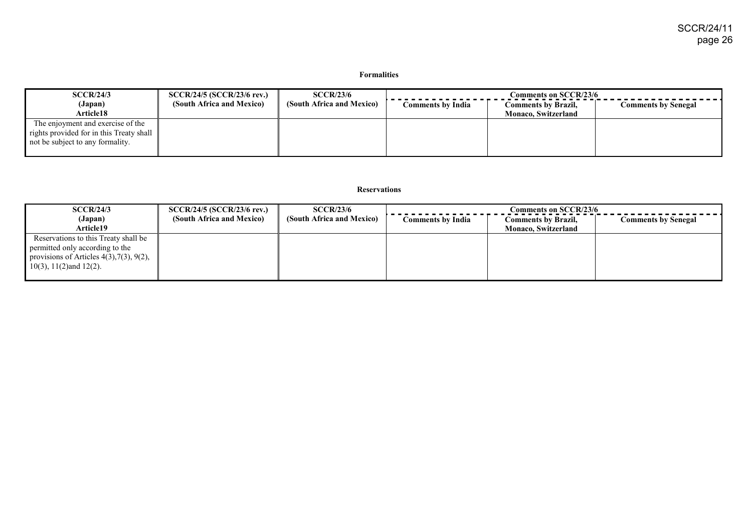#### **Formalities**

| SCCR/24/3                                            | <b>SCCR/24/5 (SCCR/23/6 rev.)</b> | <b>SCCR/23/6</b>          | Comments on SCCR/23/6 |                            |                            |
|------------------------------------------------------|-----------------------------------|---------------------------|-----------------------|----------------------------|----------------------------|
| (Japan)                                              | (South Africa and Mexico)         | (South Africa and Mexico) | Comments by India     | <b>Comments by Brazil,</b> | <b>Comments by Senegal</b> |
| <b>Article18</b>                                     |                                   |                           |                       | <b>Monaco, Switzerland</b> |                            |
| The enjoyment and exercise of the                    |                                   |                           |                       |                            |                            |
| rights provided for in this Treaty shall $\parallel$ |                                   |                           |                       |                            |                            |
| not be subject to any formality.                     |                                   |                           |                       |                            |                            |
|                                                      |                                   |                           |                       |                            |                            |

#### **Reservations**

| SCCR/24/3                                                                                                                    | SCCR/24/5 (SCCR/23/6 rev.) | SCCR/23/6                 | $Comments$ on $SCCR/23/6$ |                            |                            |
|------------------------------------------------------------------------------------------------------------------------------|----------------------------|---------------------------|---------------------------|----------------------------|----------------------------|
| (Japan)                                                                                                                      | (South Africa and Mexico)  | (South Africa and Mexico) | Comments by India         | <b>Comments by Brazil,</b> | <b>Comments by Senegal</b> |
| <b>Article19</b>                                                                                                             |                            |                           |                           | <b>Monaco, Switzerland</b> |                            |
| Reservations to this Treaty shall be<br>permitted only according to the<br>provisions of Articles $4(3)$ , $7(3)$ , $9(2)$ , |                            |                           |                           |                            |                            |
| $10(3)$ , $11(2)$ and $12(2)$ .                                                                                              |                            |                           |                           |                            |                            |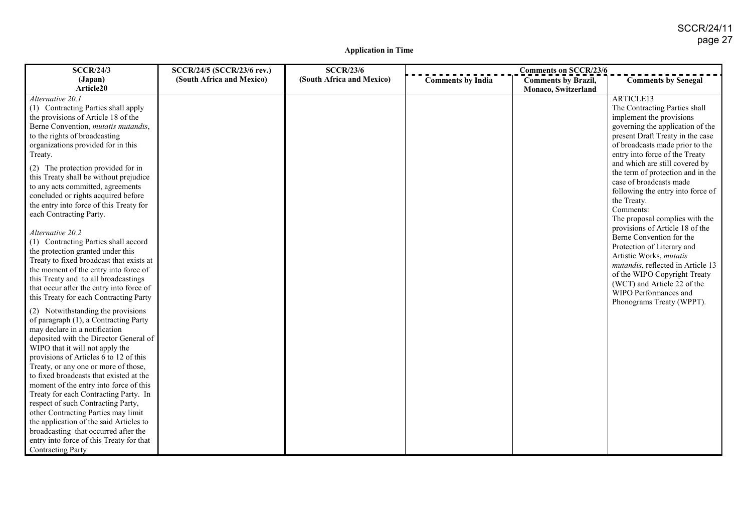#### **Application in Time**

| <b>SCCR/24/3</b>                                                            | SCCR/24/5 (SCCR/23/6 rev.) | <b>SCCR/23/6</b>          | <b>Comments on SCCR/23/6</b> |                            |                                   |
|-----------------------------------------------------------------------------|----------------------------|---------------------------|------------------------------|----------------------------|-----------------------------------|
| (Japan)                                                                     | (South Africa and Mexico)  | (South Africa and Mexico) | <b>Comments by India</b>     | <b>Comments by Brazil,</b> | <b>Comments by Senegal</b>        |
| Article20                                                                   |                            |                           |                              | Monaco, Switzerland        |                                   |
| Alternative 20.1                                                            |                            |                           |                              |                            | ARTICLE13                         |
| (1) Contracting Parties shall apply                                         |                            |                           |                              |                            | The Contracting Parties shall     |
| the provisions of Article 18 of the                                         |                            |                           |                              |                            | implement the provisions          |
| Berne Convention, mutatis mutandis,                                         |                            |                           |                              |                            | governing the application of the  |
| to the rights of broadcasting                                               |                            |                           |                              |                            | present Draft Treaty in the case  |
| organizations provided for in this                                          |                            |                           |                              |                            | of broadcasts made prior to the   |
| Treaty.                                                                     |                            |                           |                              |                            | entry into force of the Treaty    |
| (2) The protection provided for in                                          |                            |                           |                              |                            | and which are still covered by    |
| this Treaty shall be without prejudice                                      |                            |                           |                              |                            | the term of protection and in the |
| to any acts committed, agreements                                           |                            |                           |                              |                            | case of broadcasts made           |
| concluded or rights acquired before                                         |                            |                           |                              |                            | following the entry into force of |
| the entry into force of this Treaty for                                     |                            |                           |                              |                            | the Treaty.                       |
| each Contracting Party.                                                     |                            |                           |                              |                            | Comments:                         |
|                                                                             |                            |                           |                              |                            | The proposal complies with the    |
| Alternative 20.2                                                            |                            |                           |                              |                            | provisions of Article 18 of the   |
| (1) Contracting Parties shall accord                                        |                            |                           |                              |                            | Berne Convention for the          |
| the protection granted under this                                           |                            |                           |                              |                            | Protection of Literary and        |
| Treaty to fixed broadcast that exists at                                    |                            |                           |                              |                            | Artistic Works, mutatis           |
| the moment of the entry into force of                                       |                            |                           |                              |                            | mutandis, reflected in Article 13 |
| this Treaty and to all broadcastings                                        |                            |                           |                              |                            | of the WIPO Copyright Treaty      |
| that occur after the entry into force of                                    |                            |                           |                              |                            | (WCT) and Article 22 of the       |
| this Treaty for each Contracting Party                                      |                            |                           |                              |                            | WIPO Performances and             |
|                                                                             |                            |                           |                              |                            | Phonograms Treaty (WPPT).         |
| (2) Notwithstanding the provisions<br>of paragraph (1), a Contracting Party |                            |                           |                              |                            |                                   |
| may declare in a notification                                               |                            |                           |                              |                            |                                   |
| deposited with the Director General of                                      |                            |                           |                              |                            |                                   |
| WIPO that it will not apply the                                             |                            |                           |                              |                            |                                   |
| provisions of Articles 6 to 12 of this                                      |                            |                           |                              |                            |                                   |
| Treaty, or any one or more of those,                                        |                            |                           |                              |                            |                                   |
| to fixed broadcasts that existed at the                                     |                            |                           |                              |                            |                                   |
| moment of the entry into force of this                                      |                            |                           |                              |                            |                                   |
| Treaty for each Contracting Party. In                                       |                            |                           |                              |                            |                                   |
| respect of such Contracting Party,                                          |                            |                           |                              |                            |                                   |
| other Contracting Parties may limit                                         |                            |                           |                              |                            |                                   |
| the application of the said Articles to                                     |                            |                           |                              |                            |                                   |
| broadcasting that occurred after the                                        |                            |                           |                              |                            |                                   |
| entry into force of this Treaty for that                                    |                            |                           |                              |                            |                                   |
| <b>Contracting Party</b>                                                    |                            |                           |                              |                            |                                   |